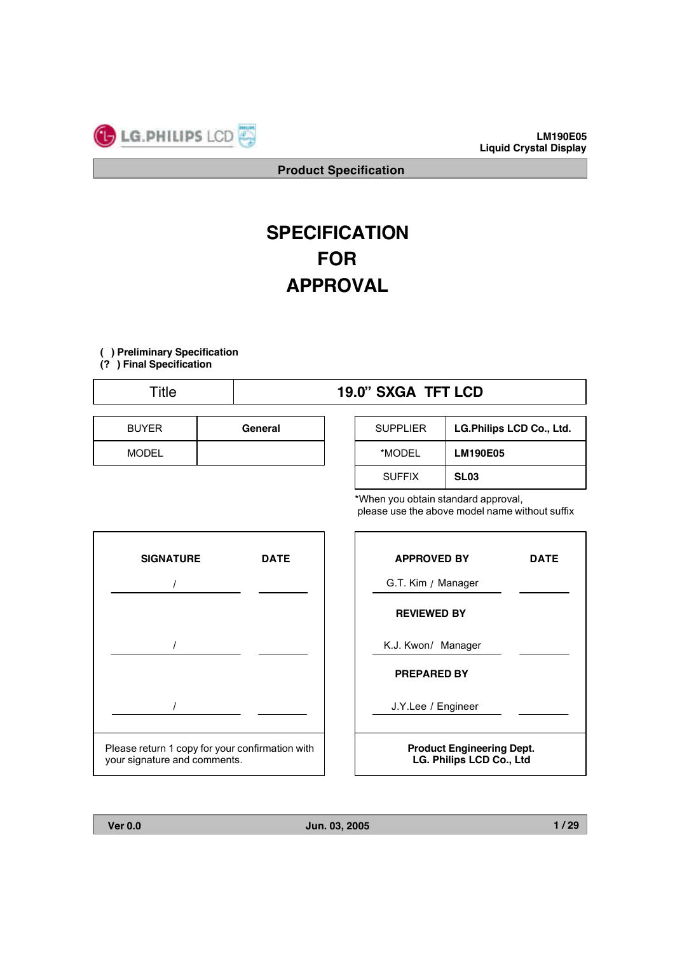

# **SPECIFICATION FOR APPROVAL**

**( ) Preliminary Specification**

**(? ) Final Specification**

Title **19.0" SXGA TFT LCD**

| <b>BUYER</b> | General |
|--------------|---------|
| MODFI        |         |

| <b>SUPPLIER</b> | LG.Philips LCD Co., Ltd. |
|-----------------|--------------------------|
| *MODFI          | <b>LM190E05</b>          |
| <b>SUFFIX</b>   | <b>SL03</b>              |

\*When you obtain standard approval, please use the above model name without suffix



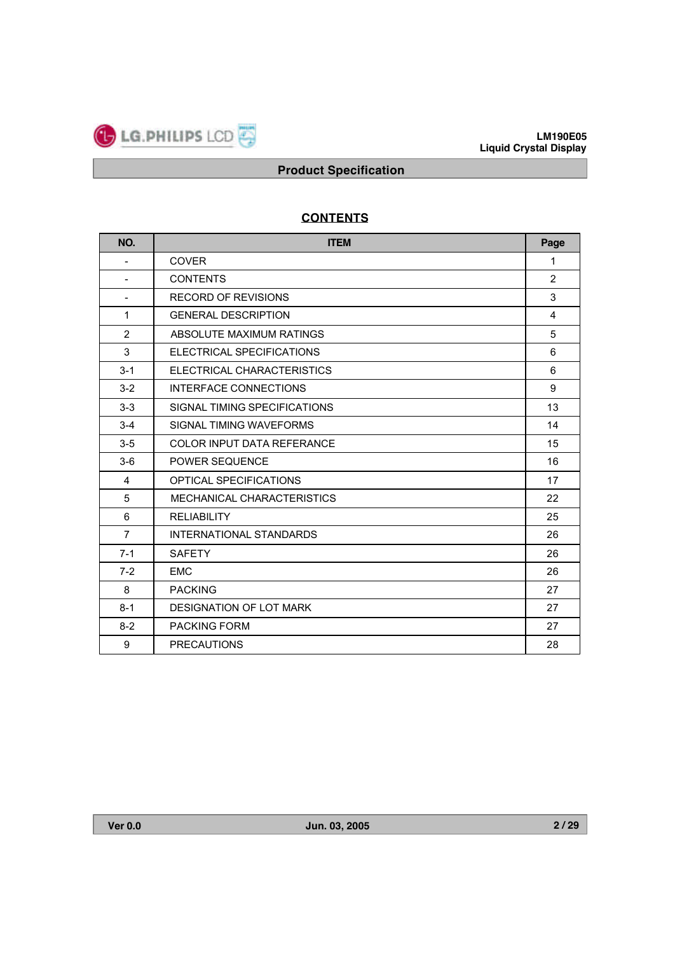

# **CONTENTS**

| NO.                      | <b>ITEM</b>                       | Page |
|--------------------------|-----------------------------------|------|
| $\overline{\phantom{0}}$ | <b>COVER</b>                      | 1    |
|                          | <b>CONTENTS</b>                   | 2    |
| $\overline{\phantom{0}}$ | <b>RECORD OF REVISIONS</b>        | 3    |
| 1                        | <b>GENERAL DESCRIPTION</b>        | 4    |
| $\overline{2}$           | ABSOLUTE MAXIMUM RATINGS          | 5    |
| 3                        | ELECTRICAL SPECIFICATIONS         | 6    |
| $3 - 1$                  | ELECTRICAL CHARACTERISTICS        | 6    |
| $3-2$                    | <b>INTERFACE CONNECTIONS</b>      | 9    |
| $3 - 3$                  | SIGNAL TIMING SPECIFICATIONS      | 13   |
| $3 - 4$                  | SIGNAL TIMING WAVEFORMS           | 14   |
| $3-5$                    | <b>COLOR INPUT DATA REFERANCE</b> | 15   |
| $3-6$                    | POWER SEQUENCE                    | 16   |
| $\overline{4}$           | <b>OPTICAL SPECIFICATIONS</b>     | 17   |
| 5                        | MECHANICAL CHARACTERISTICS        | 22   |
| 6                        | <b>RELIABILITY</b>                | 25   |
| $\overline{7}$           | <b>INTERNATIONAL STANDARDS</b>    | 26   |
| $7 - 1$                  | <b>SAFETY</b>                     | 26   |
| $7-2$                    | <b>EMC</b>                        | 26   |
| 8                        | <b>PACKING</b>                    | 27   |
| $8 - 1$                  | <b>DESIGNATION OF LOT MARK</b>    | 27   |
| $8 - 2$                  | <b>PACKING FORM</b>               | 27   |
| 9                        | <b>PRECAUTIONS</b>                | 28   |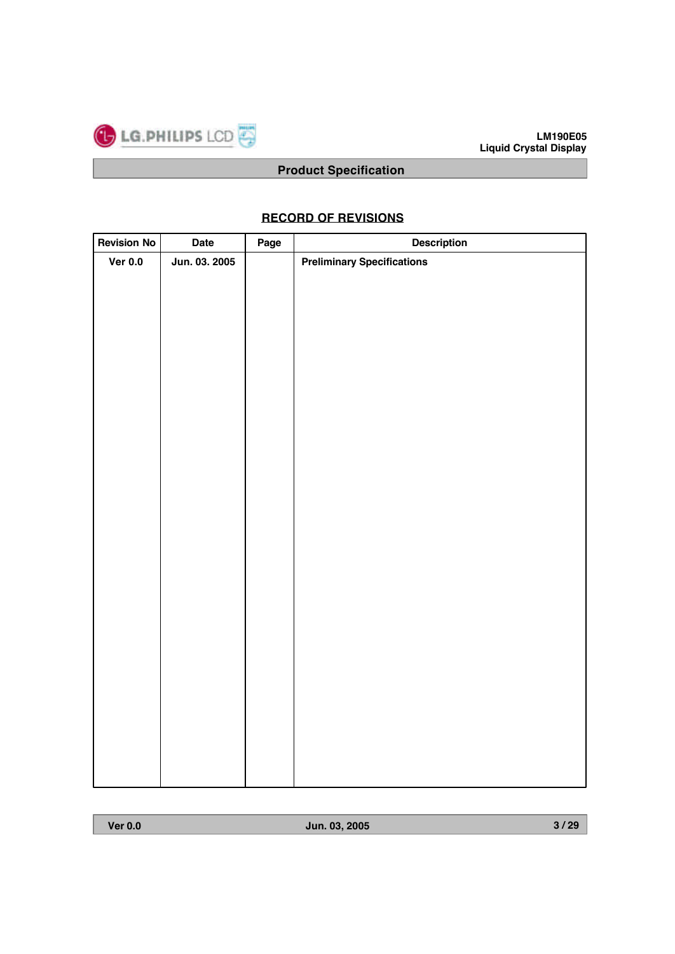

# **RECORD OF REVISIONS**

| <b>Revision No</b> | <b>Date</b>   | Page | <b>Description</b>                |
|--------------------|---------------|------|-----------------------------------|
| <b>Ver 0.0</b>     | Jun. 03. 2005 |      | <b>Preliminary Specifications</b> |
|                    |               |      |                                   |
|                    |               |      |                                   |
|                    |               |      |                                   |
|                    |               |      |                                   |
|                    |               |      |                                   |
|                    |               |      |                                   |
|                    |               |      |                                   |
|                    |               |      |                                   |
|                    |               |      |                                   |
|                    |               |      |                                   |
|                    |               |      |                                   |
|                    |               |      |                                   |
|                    |               |      |                                   |
|                    |               |      |                                   |
|                    |               |      |                                   |
|                    |               |      |                                   |
|                    |               |      |                                   |
|                    |               |      |                                   |
|                    |               |      |                                   |
|                    |               |      |                                   |
|                    |               |      |                                   |
|                    |               |      |                                   |
|                    |               |      |                                   |
|                    |               |      |                                   |
|                    |               |      |                                   |
|                    |               |      |                                   |
|                    |               |      |                                   |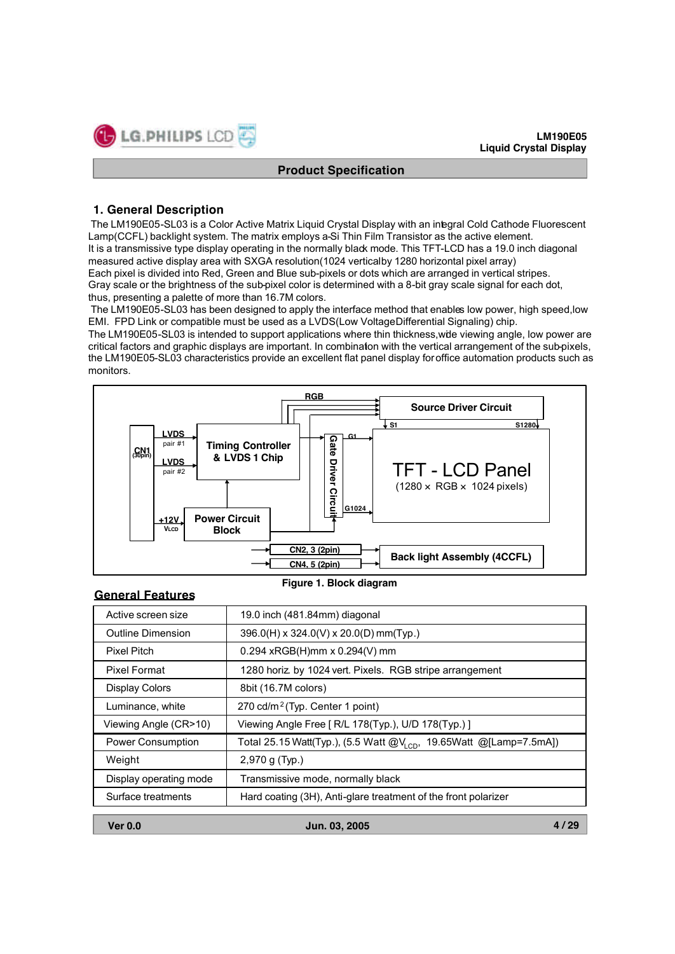# **1. General Description**

The LM190E05-SL03 is a Color Active Matrix Liquid Crystal Display with an integral Cold Cathode Fluorescent Lamp(CCFL) backlight system. The matrix employs a-Si Thin Film Transistor as the active element. It is a transmissive type display operating in the normally black mode. This TFT-LCD has a 19.0 inch diagonal measured active display area with SXGA resolution(1024 vertical by 1280 horizontal pixel array) Each pixel is divided into Red, Green and Blue sub-pixels or dots which are arranged in vertical stripes. Gray scale or the brightness of the sub-pixel color is determined with a 8-bit gray scale signal for each dot, thus, presenting a palette of more than 16.7M colors.

The LM190E05-SL03 has been designed to apply the interface method that enables low power, high speed.low EMI. FPD Link or compatible must be used as a LVDS(Low Voltage Differential Signaling) chip.

The LM190E05-SL03 is intended to support applications where thin thickness,wide viewing angle, low power are critical factors and graphic displays are important. In combination with the vertical arrangement of the sub-pixels, the LM190E05-SL03 characteristics provide an excellent flat panel display foroffice automation products such as monitors.



#### **Figure 1. Block diagram**

### **General Features**

| Active screen size                                                              | 19.0 inch (481.84mm) diagonal                                                  |  |  |  |  |
|---------------------------------------------------------------------------------|--------------------------------------------------------------------------------|--|--|--|--|
| <b>Outline Dimension</b>                                                        | 396.0(H) x 324.0(V) x 20.0(D) mm(Typ.)                                         |  |  |  |  |
| <b>Pixel Pitch</b>                                                              | $0.294$ xRGB(H)mm x $0.294(V)$ mm                                              |  |  |  |  |
| 1280 horiz. by 1024 vert. Pixels. RGB stripe arrangement<br><b>Pixel Format</b> |                                                                                |  |  |  |  |
| 8bit (16.7M colors)<br>Display Colors                                           |                                                                                |  |  |  |  |
| Luminance, white                                                                | 270 cd/m <sup>2</sup> (Typ. Center 1 point)                                    |  |  |  |  |
| Viewing Angle (CR>10)                                                           | Viewing Angle Free [ R/L 178(Typ.), U/D 178(Typ.) ]                            |  |  |  |  |
| <b>Power Consumption</b>                                                        | Total 25.15 Watt(Typ.), (5.5 Watt @V <sub>LCD</sub> , 19.65Watt @[Lamp=7.5mA]) |  |  |  |  |
| Weight                                                                          | 2,970 g (Typ.)                                                                 |  |  |  |  |
| Display operating mode                                                          | Transmissive mode, normally black                                              |  |  |  |  |
| Surface treatments                                                              | Hard coating (3H), Anti-glare treatment of the front polarizer                 |  |  |  |  |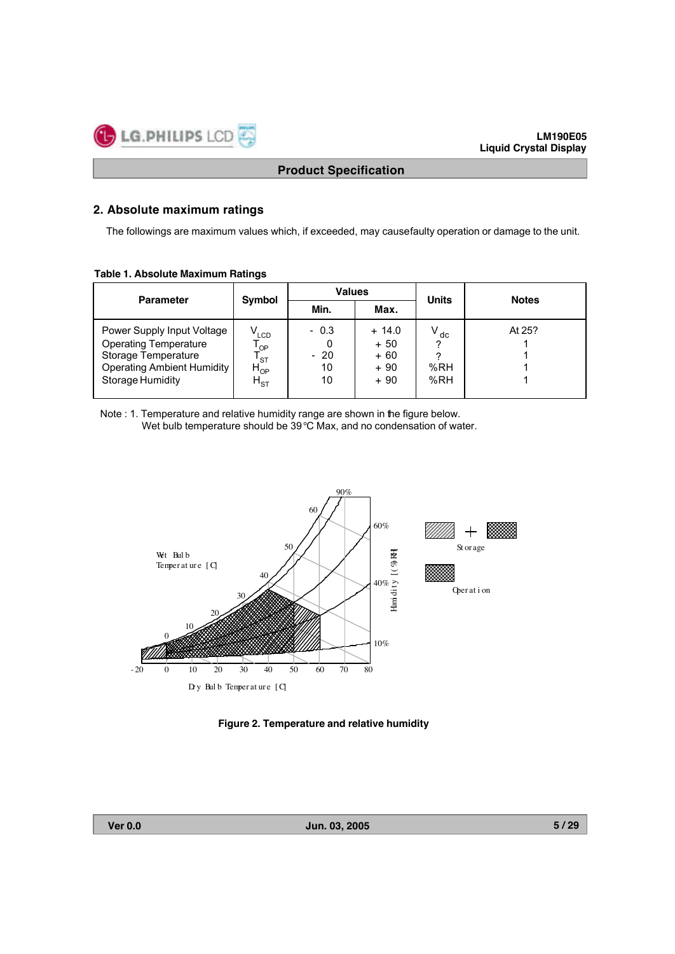

### **2. Absolute maximum ratings**

The followings are maximum values which, if exceeded, may cause faulty operation or damage to the unit.

#### **Table 1. Absolute Maximum Ratings**

| <b>Parameter</b>                                                                                                                           | <b>Symbol</b>                                                    | <b>Values</b>               |                                          | <b>Units</b>                     | <b>Notes</b> |  |
|--------------------------------------------------------------------------------------------------------------------------------------------|------------------------------------------------------------------|-----------------------------|------------------------------------------|----------------------------------|--------------|--|
|                                                                                                                                            |                                                                  | Min.                        | Max.                                     |                                  |              |  |
| Power Supply Input Voltage<br><b>Operating Temperature</b><br>Storage Temperature<br><b>Operating Ambient Humidity</b><br>Storage Humidity | $^{\prime}$ LCD<br>' OP<br><b>ST</b><br>$H_{OP}$<br>$H_{\rm ST}$ | $-0.3$<br>$-20$<br>10<br>10 | $+14.0$<br>+ 50<br>+ 60<br>+ 90<br>$+90$ | $V_{dc}$<br>?<br>2<br>%RH<br>%RH | At 25?       |  |

Note : 1. Temperature and relative humidity range are shown in the figure below. Wet bulb temperature should be 39 °C Max, and no condensation of water.



**Figure 2. Temperature and relative humidity**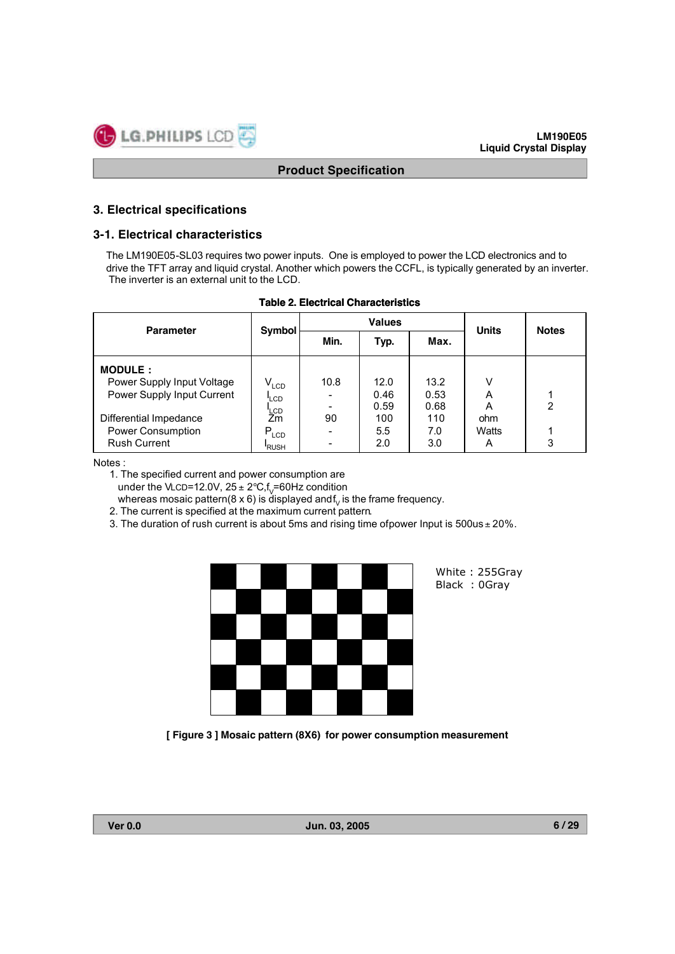

### **3. Electrical specifications**

### **3-1. Electrical characteristics**

The LM190E05-SL03 requires two power inputs. One is employed to power the LCD electronics and to drive the TFT array and liquid crystal. Another which powers the CCFL, is typically generated by an inverter. The inverter is an external unit to the LCD.

| <b>Parameter</b>                                                           | <b>Symbol</b>                          |      | <b>Values</b>        | <b>Units</b>         | Notes             |   |
|----------------------------------------------------------------------------|----------------------------------------|------|----------------------|----------------------|-------------------|---|
|                                                                            |                                        | Min. | Max.<br>Typ.         |                      |                   |   |
| <b>MODULE:</b><br>Power Supply Input Voltage<br>Power Supply Input Current | $V_{LCD}$<br>'LCD                      | 10.8 | 12.0<br>0.46<br>0.59 | 13.2<br>0.53<br>0.68 | v<br>А<br>A       | 2 |
| Differential Impedance<br>Power Consumption<br><b>Rush Current</b>         | 'LCD<br>Zm<br>Р.<br>LCD<br><b>RUSH</b> | 90   | 100<br>5.5<br>2.0    | 110<br>7.0<br>3.0    | ohm<br>Watts<br>A | 3 |

### **Table 2. Electrical Characteristics**

Notes :

1. The specified current and power consumption are under the VLCD=12.0V,  $25 \pm 2^{\circ}C$ , f<sub>V</sub>=60Hz condition whereas mosaic pattern(8 x 6) is displayed and  $f_{\vee}$  is the frame frequency.

- 2. The current is specified at the maximum current pattern.
- 3. The duration of rush current is about 5ms and rising time ofpower Input is  $500$ us  $\pm 20\%$ .



White : 255Gray Black : 0Gray

**[ Figure 3 ] Mosaic pattern (8X6) for power consumption measurement**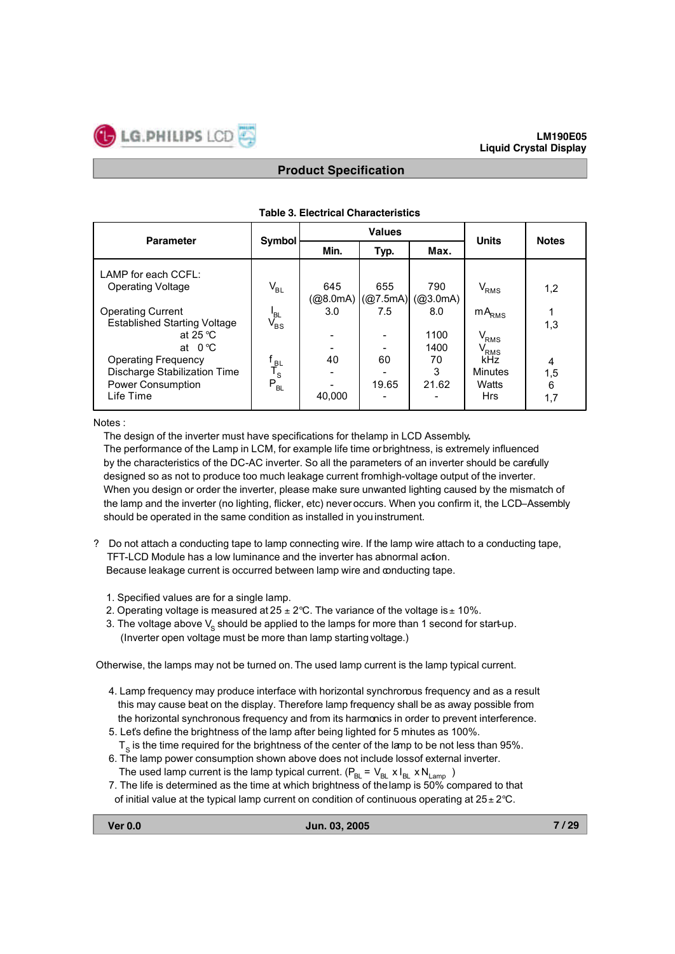| <b>Parameter</b>                                                | <b>Symbol</b>              |          | <b>Values</b> | <b>Units</b> | <b>Notes</b>             |          |
|-----------------------------------------------------------------|----------------------------|----------|---------------|--------------|--------------------------|----------|
|                                                                 |                            | Min.     | Typ.          | Max.         |                          |          |
| LAMP for each CCFL:<br><b>Operating Voltage</b>                 | $V_{BL}$                   | 645      | 655           | 790          | $\rm V_{RMS}$            | 1,2      |
|                                                                 |                            | (@8.0mA) | (Q7.5mA)      | (@3.0mA)     |                          |          |
| <b>Operating Current</b><br><b>Established Starting Voltage</b> | 'BL<br>$V_{BS}$            | 3.0      | 7.5           | 8.0          | $mA_{\rm RMS}$           | 1,3      |
| at 25 $^{\circ}$ C<br>at $0^{\circ}$ C                          |                            |          |               | 1100<br>1400 | $\rm V_{\rm RMS}$        |          |
| <b>Operating Frequency</b>                                      |                            | 40       | 60            | 70           | $\rm V_{\rm RMS}$<br>kHz | 4        |
| Discharge Stabilization Time<br><b>Power Consumption</b>        | $T_S^{\text{BL}}$          |          | 19.65         | 3<br>21.62   | <b>Minutes</b><br>Watts  | 1,5<br>6 |
| Life Time                                                       | $\mathsf{P}_{\mathsf{BL}}$ | 40,000   |               |              | <b>Hrs</b>               | 1,7      |

### **Table 3. Electrical Characteristics**

Notes :

The design of the inverter must have specifications for the lamp in LCD Assembly**.** The performance of the Lamp in LCM, for example life time orbrightness, is extremely influenced by the characteristics of the DC-AC inverter. So all the parameters of an inverter should be carefully designed so as not to produce too much leakage current from high-voltage output of the inverter. When you design or order the inverter, please make sure unwanted lighting caused by the mismatch of the lamp and the inverter (no lighting, flicker, etc) never occurs. When you confirm it, the LCD–Assembly should be operated in the same condition as installed in youinstrument.

- ? Do not attach a conducting tape to lamp connecting wire. If the lamp wire attach to a conducting tape, TFT-LCD Module has a low luminance and the inverter has abnormal action. Because leakage current is occurred between lamp wire and conducting tape.
	- 1. Specified values are for a single lamp.
	- 2. Operating voltage is measured at  $25 \pm 2^{\circ}$ C. The variance of the voltage is $\pm$  10%.
	- 3. The voltage above  $V_s$  should be applied to the lamps for more than 1 second for start-up. (Inverter open voltage must be more than lamp starting voltage.)

Otherwise, the lamps may not be turned on. The used lamp current is the lamp typical current.

- 4. Lamp frequency may produce interface with horizontal synchronous frequency and as a result this may cause beat on the display. Therefore lamp frequency shall be as away possible from the horizontal synchronous frequency and from its harmonics in order to prevent interference.
- 5. Let's define the brightness of the lamp after being lighted for 5 minutes as 100%.  $T<sub>s</sub>$  is the time required for the brightness of the center of the lamp to be not less than 95%.
- 6. The lamp power consumption shown above does not include lossof external inverter. The used lamp current is the lamp typical current.  $(P_{BL} = V_{BL} \times I_{BL} \times N_{Lamp}$ )
- 7. The life is determined as the time at which brightness of thelamp is 50% compared to that of initial value at the typical lamp current on condition of continuous operating at  $25 \pm 2^{\circ}$ C.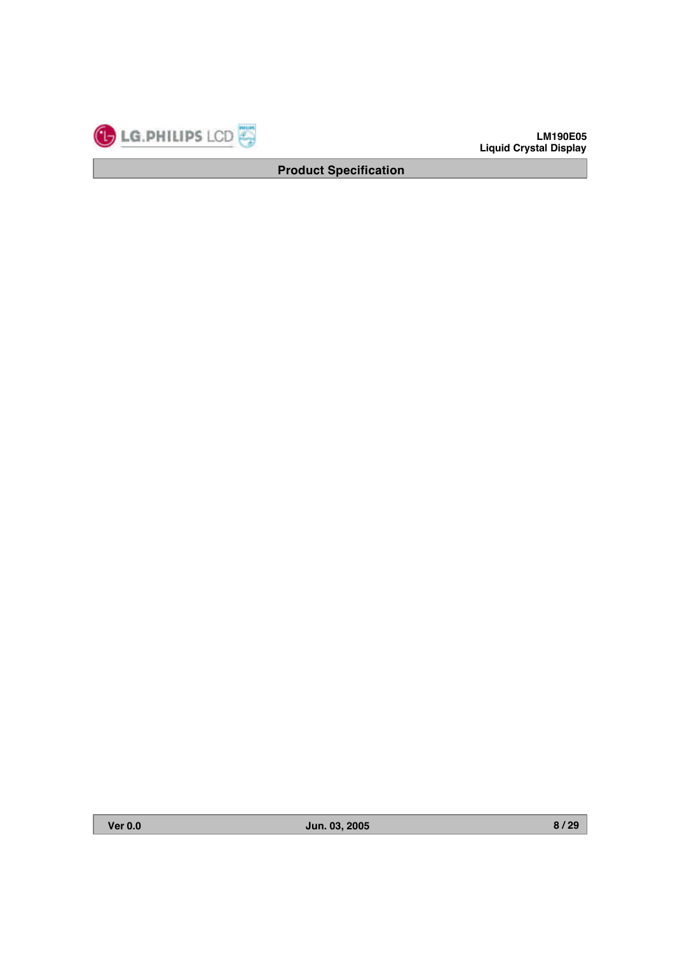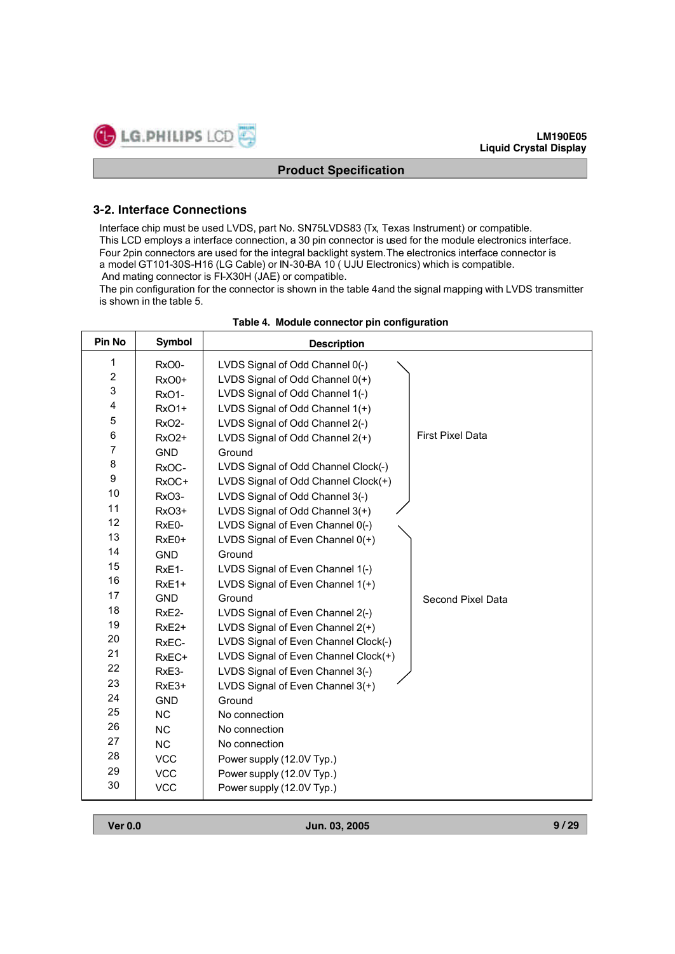

### **3-2. Interface Connections**

Interface chip must be used LVDS, part No. SN75LVDS83 (Tx, Texas Instrument) or compatible. This LCD employs a interface connection, a 30 pin connector is used for the module electronics interface. Four 2pin connectors are used for the integral backlight system.The electronics interface connector is a model GT101-30S-H16 (LG Cable) or IN-30-BA 10 ( UJU Electronics) which is compatible. And mating connector is FI-X30H (JAE) or compatible.

The pin configuration for the connector is shown in the table 4 and the signal mapping with LVDS transmitter is shown in the table 5.

| Pin No         | Symbol             | <b>Description</b>                   |                         |
|----------------|--------------------|--------------------------------------|-------------------------|
| 1              | RxO0-              | LVDS Signal of Odd Channel 0(-)      |                         |
| $\overline{2}$ | RxO0+              | LVDS Signal of Odd Channel 0(+)      |                         |
| 3              | RxO1-              | LVDS Signal of Odd Channel 1(-)      |                         |
| 4              | <b>RxO1+</b>       | LVDS Signal of Odd Channel 1(+)      |                         |
| 5              | RxO <sub>2</sub> - | LVDS Signal of Odd Channel 2(-)      |                         |
| 6              | <b>RxO2+</b>       | LVDS Signal of Odd Channel 2(+)      | <b>First Pixel Data</b> |
| $\overline{7}$ | <b>GND</b>         | Ground                               |                         |
| 8              | RxOC-              | LVDS Signal of Odd Channel Clock(-)  |                         |
| 9              | RxOC+              | LVDS Signal of Odd Channel Clock(+)  |                         |
| 10             | RxO <sub>3</sub> - | LVDS Signal of Odd Channel 3(-)      |                         |
| 11             | RxO3+              | LVDS Signal of Odd Channel 3(+)      |                         |
| 12             | RxE0-              | LVDS Signal of Even Channel 0(-)     |                         |
| 13             | $RxE0+$            | LVDS Signal of Even Channel 0(+)     |                         |
| 14             | <b>GND</b>         | Ground                               |                         |
| 15             | RxE <sub>1</sub> - | LVDS Signal of Even Channel 1(-)     |                         |
| 16             | $RxE1+$            | LVDS Signal of Even Channel 1(+)     |                         |
| 17             | <b>GND</b>         | Ground                               | Second Pixel Data       |
| 18             | RxE <sub>2</sub> - | LVDS Signal of Even Channel 2(-)     |                         |
| 19             | $RxE2+$            | LVDS Signal of Even Channel 2(+)     |                         |
| 20             | RxEC-              | LVDS Signal of Even Channel Clock(-) |                         |
| 21             | RxEC+              | LVDS Signal of Even Channel Clock(+) |                         |
| 22             | RxE3-              | LVDS Signal of Even Channel 3(-)     |                         |
| 23             | $RxE3+$            | LVDS Signal of Even Channel 3(+)     |                         |
| 24             | <b>GND</b>         | Ground                               |                         |
| 25             | <b>NC</b>          | No connection                        |                         |
| 26             | <b>NC</b>          | No connection                        |                         |
| 27             | <b>NC</b>          | No connection                        |                         |
| 28             | <b>VCC</b>         | Power supply (12.0V Typ.)            |                         |
| 29             | <b>VCC</b>         | Power supply (12.0V Typ.)            |                         |
| 30             | <b>VCC</b>         | Power supply (12.0V Typ.)            |                         |

#### **Table 4. Module connector pin configuration**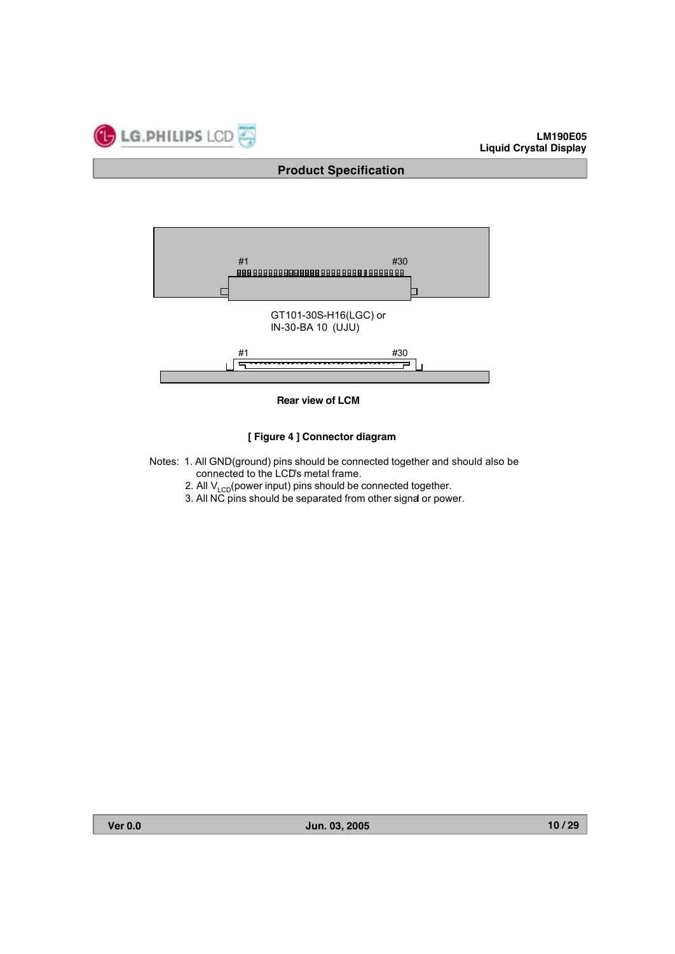



**Rear view of LCM**

#### **[ Figure 4 ] Connector diagram**

- Notes: 1. All GND(ground) pins should be connected together and should also be connected to the LCD's metal frame.
	- 2. All  $V_{LCD}$ (power input) pins should be connected together.
	- 3. All NC pins should be separated from other signal or power.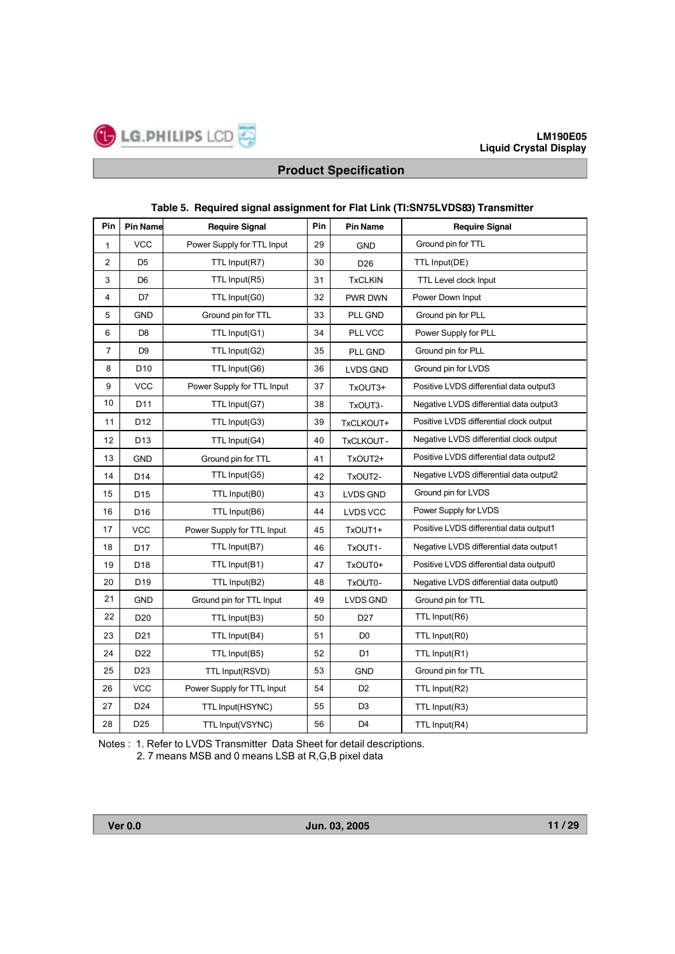### **Table 5. Required signal assignment for Flat Link (TI:SN75LVDS83) Transmitter**

| Pin          | <b>Pin Name</b> | <b>Require Signal</b>      | Pin | <b>Pin Name</b> | <b>Require Signal</b>                   |
|--------------|-----------------|----------------------------|-----|-----------------|-----------------------------------------|
| $\mathbf{1}$ | <b>VCC</b>      | Power Supply for TTL Input | 29  | <b>GND</b>      | Ground pin for TTL                      |
| 2            | D <sub>5</sub>  | TTL Input(R7)              | 30  | D <sub>26</sub> | TTL Input(DE)                           |
| 3            | D <sub>6</sub>  | TTL Input(R5)              | 31  | <b>TxCLKIN</b>  | <b>TTL Level clock Input</b>            |
| 4            | D7              | TTL Input(G0)              | 32  | PWR DWN         | Power Down Input                        |
| 5            | <b>GND</b>      | Ground pin for TTL         | 33  | PLL GND         | Ground pin for PLL                      |
| 6            | D <sub>8</sub>  | TTL Input(G1)              | 34  | PLL VCC         | Power Supply for PLL                    |
| 7            | D <sub>9</sub>  | TTL Input(G2)              | 35  | PLL GND         | Ground pin for PLL                      |
| 8            | D <sub>10</sub> | TTL Input(G6)              | 36  | LVDS GND        | Ground pin for LVDS                     |
| 9            | <b>VCC</b>      | Power Supply for TTL Input | 37  | TxOUT3+         | Positive LVDS differential data output3 |
| 10           | D <sub>11</sub> | TTL Input(G7)              | 38  | TxOUT3-         | Negative LVDS differential data output3 |
| 11           | D <sub>12</sub> | TTL Input(G3)              | 39  | TxCLKOUT+       | Positive LVDS differential clock output |
| 12           | D <sub>13</sub> | TTL Input(G4)              | 40  | TxCLKOUT-       | Negative LVDS differential clock output |
| 13           | <b>GND</b>      | Ground pin for TTL         | 41  | TxOUT2+         | Positive LVDS differential data output2 |
| 14           | D <sub>14</sub> | TTL Input(G5)              | 42  | TxOUT2-         | Negative LVDS differential data output2 |
| 15           | D <sub>15</sub> | TTL Input(B0)              | 43  | LVDS GND        | Ground pin for LVDS                     |
| 16           | D <sub>16</sub> | TTL Input(B6)              | 44  | LVDS VCC        | Power Supply for LVDS                   |
| 17           | <b>VCC</b>      | Power Supply for TTL Input | 45  | TxOUT1+         | Positive LVDS differential data output1 |
| 18           | D <sub>17</sub> | TTL Input(B7)              | 46  | TxOUT1-         | Negative LVDS differential data output1 |
| 19           | D <sub>18</sub> | TTL Input(B1)              | 47  | TxOUT0+         | Positive LVDS differential data output0 |
| 20           | D <sub>19</sub> | TTL Input(B2)              | 48  | TxOUT0-         | Negative LVDS differential data output0 |
| 21           | <b>GND</b>      | Ground pin for TTL Input   | 49  | LVDS GND        | Ground pin for TTL                      |
| 22           | D <sub>20</sub> | TTL Input(B3)              | 50  | D <sub>27</sub> | TTL Input(R6)                           |
| 23           | D <sub>21</sub> | TTL Input(B4)              | 51  | D <sub>0</sub>  | TTL Input(R0)                           |
| 24           | D <sub>22</sub> | TTL Input(B5)              | 52  | D <sub>1</sub>  | TTL Input(R1)                           |
| 25           | D <sub>23</sub> | TTL Input(RSVD)            | 53  | <b>GND</b>      | Ground pin for TTL                      |
| 26           | <b>VCC</b>      | Power Supply for TTL Input | 54  | D <sub>2</sub>  | TTL Input(R2)                           |
| 27           | D <sub>24</sub> | TTL Input(HSYNC)           | 55  | D <sub>3</sub>  | TTL Input(R3)                           |
| 28           | D <sub>25</sub> | TTL Input(VSYNC)           | 56  | D <sub>4</sub>  | TTL Input(R4)                           |

Notes : 1. Refer to LVDS Transmitter Data Sheet for detail descriptions.

2. 7 means MSB and 0 means LSB at R,G,B pixel data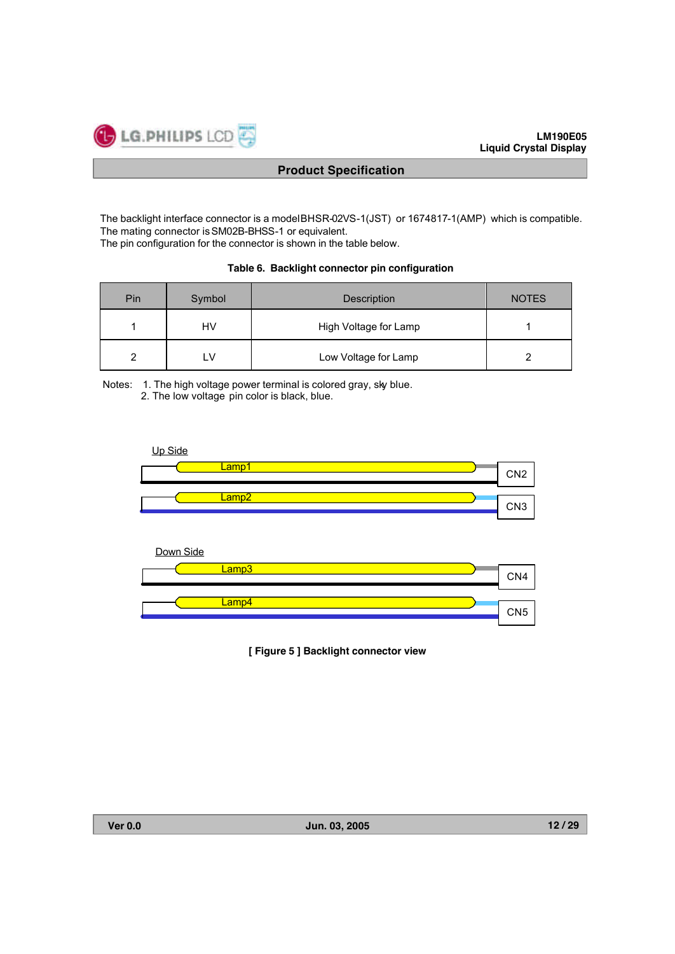

CN3

## **Product Specification**

The backlight interface connector is a model BHSR-02VS-1(JST) or 1674817-1(AMP) which is compatible. The mating connector is SM02B-BHSS-1 or equivalent.

The pin configuration for the connector is shown in the table below.

#### **Table 6. Backlight connector pin configuration**

| Pin | Symbol | Description           | <b>NOTES</b> |
|-----|--------|-----------------------|--------------|
|     | HV     | High Voltage for Lamp |              |
|     |        | Low Voltage for Lamp  |              |

Notes: 1. The high voltage power terminal is colored gray, sky blue. 2. The low voltage pin color is black, blue.

Lamp2

Up Side CN2 Lamp1



#### **[ Figure 5 ] Backlight connector view**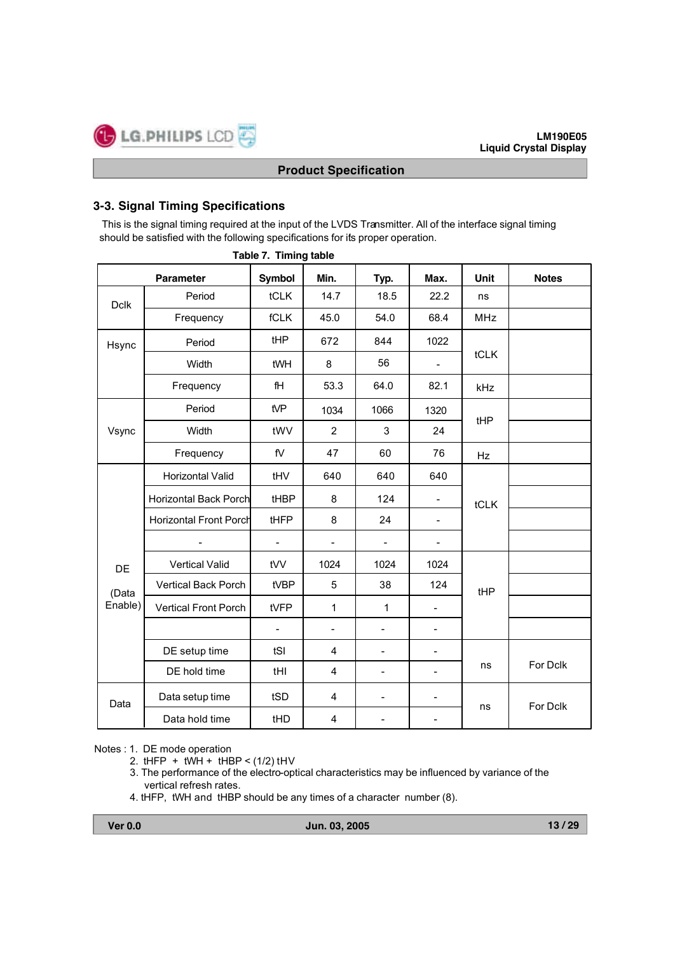

## **3-3. Signal Timing Specifications**

This is the signal timing required at the input of the LVDS Transmitter. All of the interface signal timing should be satisfied with the following specifications for its proper operation.

| <b>Parameter</b> |                              | <b>Symbol</b>  | Min.                     | Typ.                     | Max.                     | <b>Unit</b> | <b>Notes</b> |
|------------------|------------------------------|----------------|--------------------------|--------------------------|--------------------------|-------------|--------------|
| <b>Dclk</b>      | Period                       | tCLK           | 14.7                     | 18.5                     | 22.2                     | ns          |              |
|                  | Frequency                    | fCLK           | 45.0                     | 54.0                     | 68.4                     | <b>MHz</b>  |              |
| Hsync            | Period                       | tHP            | 672                      | 844                      | 1022                     |             |              |
|                  | Width                        | tWH            | 8                        | 56                       | $\overline{a}$           | tCLK        |              |
|                  | Frequency                    | fH             | 53.3                     | 64.0                     | 82.1                     | kHz         |              |
| Vsync            | Period                       | tVP            | 1034                     | 1066                     | 1320                     |             |              |
|                  | Width                        | tWV            | 2                        | 3                        | 24                       | tHP         |              |
|                  | Frequency                    | fV             | 47                       | 60                       | 76                       | Hz          |              |
|                  | Horizontal Valid             | tHV            | 640                      | 640                      | 640                      |             |              |
|                  | <b>Horizontal Back Porch</b> | tHBP           | 8                        | 124                      |                          | tCLK        |              |
|                  | Horizontal Front Porch       | tHFP           | 8                        | 24                       | -                        |             |              |
|                  |                              | $\overline{a}$ |                          |                          |                          |             |              |
| DE               | <b>Vertical Valid</b>        | tVV            | 1024                     | 1024                     | 1024                     |             |              |
| (Data            | Vertical Back Porch          | tVBP           | 5                        | 38                       | 124                      | tHP         |              |
| Enable)          | Vertical Front Porch         | tVFP           | $\mathbf{1}$             | $\mathbf{1}$             | $\overline{\phantom{a}}$ |             |              |
|                  |                              | $\overline{a}$ | $\overline{\phantom{a}}$ | $\overline{\phantom{a}}$ | $\blacksquare$           |             |              |
|                  | DE setup time                | tSI            | 4                        | $\blacksquare$           | $\overline{\phantom{a}}$ |             |              |
|                  | DE hold time                 | tHI            | $\overline{4}$           | $\overline{\phantom{a}}$ | $\overline{\phantom{a}}$ | ns          | For Dclk     |
| Data             | Data setup time              | tSD            | 4                        | $\overline{\phantom{a}}$ | $\overline{\phantom{a}}$ |             | For Dclk     |
|                  | Data hold time               | tHD            | 4                        |                          |                          | ns          |              |

|  | Table 7. Timing table |  |
|--|-----------------------|--|
|  |                       |  |

Notes : 1. DE mode operation

- 2. tHFP + tWH + tHBP < (1/2) tHV
- 3. The performance of the electro-optical characteristics may be influenced by variance of the vertical refresh rates.
- 4. tHFP, tWH and tHBP should be any times of a character number (8).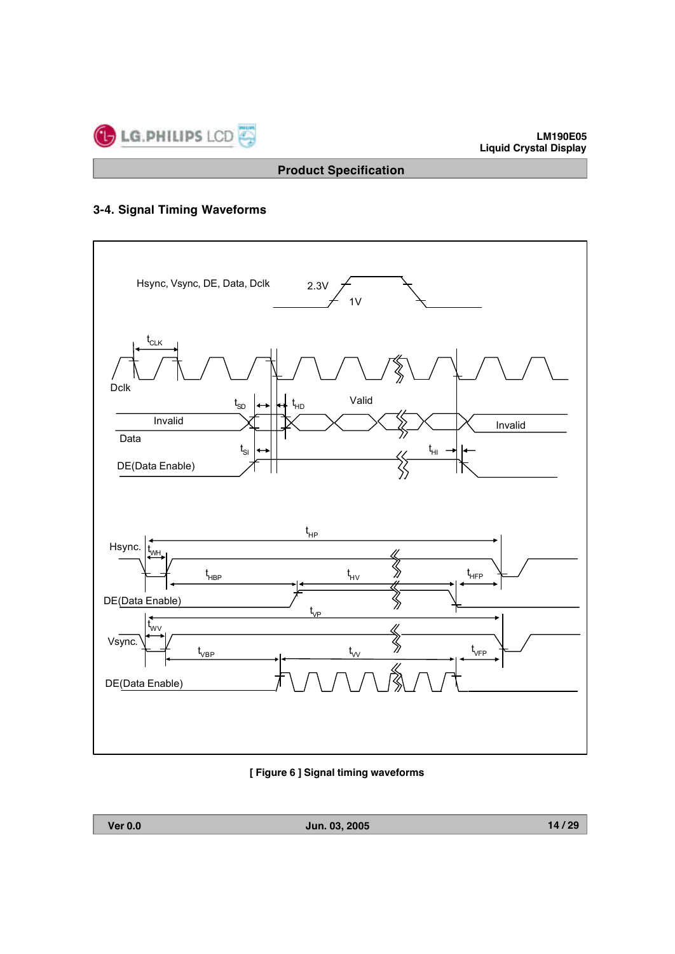

# **3-4. Signal Timing Waveforms**



### **[ Figure 6 ] Signal timing waveforms**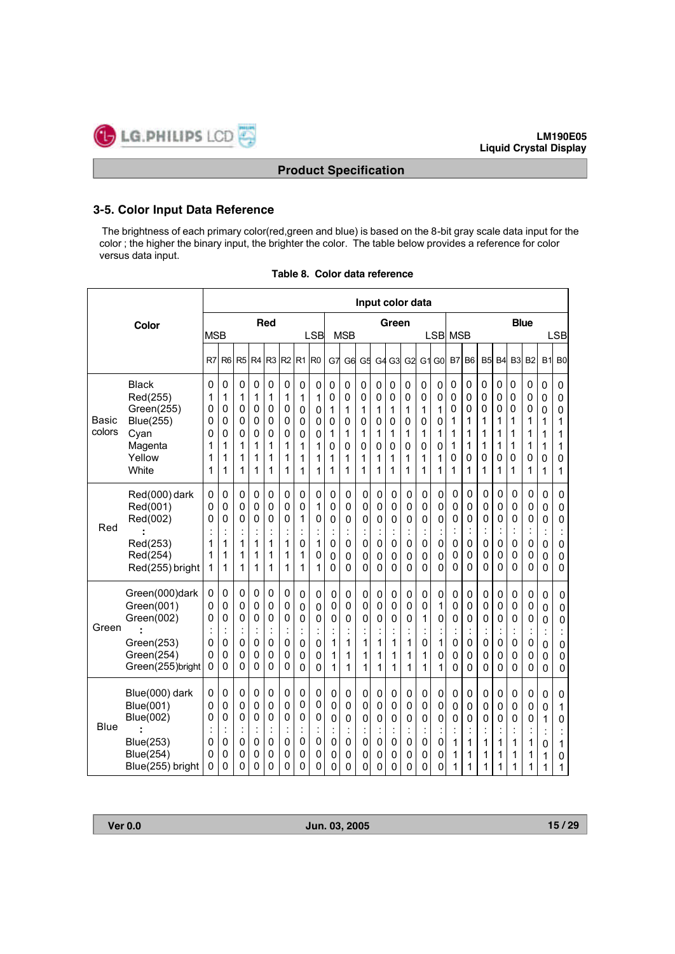

### **3-5. Color Input Data Reference**

The brightness of each primary color(red,green and blue) is based on the 8-bit gray scale data input for the color ; the higher the binary input, the brighter the color. The table below provides a reference for color versus data input.

|                        |                                                                                                  |                                      |                                                    |                                                    |                                                 |                                                           |                                                        |                                                     |                                      |                                                 |                                                        |                                              |                                                 |                                              | Input color data                               |                                              |                                      |                                                          |                                                                         |                                                                            |                                      |                                                                          |                                              |                                       |                                                    |
|------------------------|--------------------------------------------------------------------------------------------------|--------------------------------------|----------------------------------------------------|----------------------------------------------------|-------------------------------------------------|-----------------------------------------------------------|--------------------------------------------------------|-----------------------------------------------------|--------------------------------------|-------------------------------------------------|--------------------------------------------------------|----------------------------------------------|-------------------------------------------------|----------------------------------------------|------------------------------------------------|----------------------------------------------|--------------------------------------|----------------------------------------------------------|-------------------------------------------------------------------------|----------------------------------------------------------------------------|--------------------------------------|--------------------------------------------------------------------------|----------------------------------------------|---------------------------------------|----------------------------------------------------|
|                        | Color                                                                                            | <b>MSB</b>                           |                                                    |                                                    |                                                 | Red                                                       |                                                        |                                                     |                                      |                                                 | <b>MSB</b>                                             |                                              |                                                 | Green                                        |                                                |                                              |                                      | <b>MSB</b>                                               |                                                                         |                                                                            |                                      | <b>Blue</b>                                                              |                                              |                                       | LSB                                                |
|                        |                                                                                                  |                                      |                                                    |                                                    |                                                 |                                                           |                                                        |                                                     | <b>LSB</b>                           |                                                 |                                                        |                                              |                                                 |                                              |                                                |                                              | <b>LSB</b>                           |                                                          |                                                                         |                                                                            |                                      |                                                                          |                                              |                                       |                                                    |
|                        |                                                                                                  | R7                                   | R <sub>6</sub>                                     | R <sub>5</sub>                                     | R <sub>4</sub>                                  | R <sub>3</sub>                                            | R2                                                     | R <sub>1</sub>                                      | R <sub>0</sub>                       | G7                                              | G <sub>6</sub>                                         | G5                                           | G4                                              | G <sub>3</sub>                               | G2                                             | G1                                           | G <sub>0</sub>                       | <b>B7</b>                                                | B <sub>6</sub>                                                          | B <sub>5</sub>                                                             | <b>B4</b>                            | B <sub>3</sub>                                                           | <b>B2</b>                                    | <b>B1</b>                             | B <sub>0</sub>                                     |
| <b>Basic</b><br>colors | <b>Black</b><br>Red(255)<br>Green(255)<br><b>Blue(255)</b><br>Cyan<br>Magenta<br>Yellow<br>White | 0<br>1<br>0<br>0<br>0<br>1<br>1<br>1 | 0<br>1<br>0<br>0<br>0<br>1<br>1<br>1               | 0<br>1<br>0<br>0<br>0<br>1<br>1<br>1               | 0<br>1<br>0<br>0<br>0<br>1<br>1<br>1            | 0<br>1<br>0<br>0<br>0<br>1<br>1<br>1                      | 0<br>1<br>0<br>0<br>0<br>1<br>1<br>1                   | 0<br>1<br>0<br>0<br>0<br>1<br>1<br>1                | 0<br>1<br>0<br>0<br>0<br>1<br>1<br>1 | 0<br>$\mathbf{0}$<br>1<br>0<br>1<br>0<br>1<br>1 | 0<br>0<br>1<br>0<br>1<br>0<br>1<br>1                   | 0<br>0<br>1<br>0<br>1<br>0<br>1<br>1         | 0<br>0<br>1<br>$\mathsf 0$<br>1<br>0<br>1<br>1  | 0<br>0<br>1<br>0<br>1<br>0<br>1<br>1         | 0<br>0<br>1<br>0<br>1<br>0<br>1<br>1           | 0<br>0<br>1<br>0<br>1<br>0<br>1<br>1         | 0<br>0<br>1<br>0<br>1<br>0<br>1<br>1 | 0<br>$\mathbf 0$<br>0<br>1<br>1<br>1<br>$\mathbf 0$<br>1 | 0<br>0<br>0<br>1<br>1<br>1<br>0<br>1                                    | 0<br>$\mathbf 0$<br>$\mathbf 0$<br>1<br>1<br>1<br>$\Omega$<br>1            | 0<br>0<br>0<br>1<br>1<br>1<br>0<br>1 | 0<br>0<br>0<br>1<br>1<br>1<br>0<br>1                                     | 0<br>0<br>0<br>1<br>1<br>1<br>0<br>1         | 0<br>0<br>0<br>1<br>1<br>1<br>0<br>1  | 0<br>0<br>0<br>1<br>1<br>1<br>0<br>1               |
| Red                    | Red(000) dark<br>Red(001)<br>Red(002)<br>Red(253)<br>Red(254)<br>Red(255) bright                 | 0<br>0<br>0<br>1<br>1<br>1           | 0<br>0<br>0<br>$\ddot{\phantom{a}}$<br>1<br>1<br>1 | 0<br>0<br>0<br>İ<br>1<br>1<br>1                    | 0<br>0<br>$\mathbf{0}$<br>÷<br>1<br>1<br>1      | 0<br>0<br>$\mathbf{0}$<br>$\ddot{\cdot}$<br>1<br>1<br>1   | 0<br>0<br>$\mathbf 0$<br>İ<br>1<br>1<br>1              | 0<br>0<br>1<br>İ<br>0<br>1<br>1                     | 0<br>1<br>0<br>İ<br>1<br>0<br>1      | 0<br>0<br>0<br>İ<br>0<br>0<br>0                 | 0<br>0<br>0<br>$\ddot{\cdot}$<br>0<br>0<br>$\mathbf 0$ | 0<br>0<br>0<br>0<br>0<br>0                   | 0<br>0<br>0<br>0<br>0<br>0                      | 0<br>0<br>0<br>$\ddot{\cdot}$<br>0<br>0<br>0 | 0<br>0<br>0<br>İ<br>0<br>0<br>0                | 0<br>0<br>0<br>÷<br>0<br>0<br>0              | 0<br>0<br>0<br>Ì,<br>0<br>0<br>0     | 0<br>0<br>$\mathbf 0$<br>$\mathbf 0$<br>0<br>0           | 0<br>0<br>0<br>İ,<br>$\mathbf 0$<br>0<br>$\mathbf 0$                    | 0<br>0<br>$\mathbf 0$<br>$\ddot{\cdot}$<br>$\mathbf 0$<br>0<br>$\mathbf 0$ | 0<br>0<br>$\Omega$<br>0<br>0<br>0    | 0<br>0<br>$\mathbf{0}$<br>$\ddot{\phantom{a}}$<br>0<br>0<br>$\mathbf{0}$ | 0<br>0<br>0<br>$\ddot{\cdot}$<br>0<br>0<br>0 | 0<br>0<br>0<br>0<br>0<br>0            | 0<br>0<br>0<br>$\mathbf 0$<br>0<br>0               |
| Green                  | Green(000)dark<br>Green(001)<br>Green(002)<br>Green(253)<br>Green(254)<br>Green(255)bright       | 0<br>0<br>0<br>0<br>0<br>0           | 0<br>0<br>0<br>$\ddot{\cdot}$<br>0<br>0<br>0       | 0<br>0<br>0<br>$\ddot{\phantom{0}}$<br>0<br>0<br>0 | 0<br>0<br>0<br>$\cdot$<br>0<br>0<br>$\mathbf 0$ | 0<br>0<br>0<br>$\ddot{\cdot}$<br>0<br>0<br>$\overline{0}$ | 0<br>0<br>0<br>$\blacksquare$<br>0<br>0<br>$\mathbf 0$ | 0<br>0<br>0<br>$\ddot{\cdot}$<br>0<br>0<br>$\Omega$ | 0<br>0<br>0<br>0<br>0<br>0           | 0<br>0<br>0<br>1<br>1<br>1                      | 0<br>0<br>0<br>$\ddot{\phantom{a}}$<br>1<br>1<br>1     | 0<br>0<br>0<br>1<br>1<br>1                   | 0<br>0<br>0<br>1<br>1<br>1                      | 0<br>0<br>0<br>$\ddot{\cdot}$<br>1<br>1<br>1 | 0<br>0<br>0<br>1<br>1<br>1                     | 0<br>0<br>1<br>$\ddot{\cdot}$<br>0<br>1<br>1 | 0<br>1<br>0<br>1<br>0<br>1           | 0<br>0<br>0<br>0<br>0<br>0                               | 0<br>$\mathbf 0$<br>$\mathbf 0$<br>İ<br>$\mathbf 0$<br>0<br>$\mathbf 0$ | 0<br>$\mathbf 0$<br>$\mathbf 0$<br>İ<br>$\mathbf 0$<br>0<br>$\mathbf 0$    | 0<br>0<br>0<br>0<br>0<br>$\Omega$    | 0<br>0<br>0<br>$\mathbf 0$<br>0<br>$\mathbf 0$                           | 0<br>0<br>0<br>0<br>0<br>0                   | $\mathbf{0}$<br>0<br>0<br>0<br>0<br>0 | 0<br>$\pmb{0}$<br>0<br>Ì,<br>$\mathbf 0$<br>0<br>0 |
| <b>Blue</b>            | Blue(000) dark<br>Blue(001)<br>Blue(002)<br>Blue(253)<br><b>Blue(254)</b><br>Blue(255) bright    | 0<br>0<br>0<br>0<br>0<br>0           | 0<br>0<br>0<br>$\ddot{\cdot}$<br>0<br>0<br>0       | 0<br>0<br>0<br>ï.<br>0<br>0<br>0                   | 0<br>0<br>0<br>0<br>0<br>0                      | 0<br>0<br>0<br>$\ddot{\cdot}$<br>0<br>0<br>0              | 0<br>$\mathbf 0$<br>0<br>l,<br>0<br>0<br>0             | 0<br>0<br>0<br>$\ddot{\cdot}$<br>0<br>0<br>0        | 0<br>0<br>0<br>0<br>0<br>0           | 0<br>$\mathbf 0$<br>0<br>ä,<br>0<br>0<br>0      | 0<br>$\mathsf 0$<br>0<br>÷<br>0<br>0<br>0              | 0<br>0<br>0<br>$\blacksquare$<br>0<br>0<br>0 | 0<br>0<br>0<br>$\cdot$<br>$\mathbf 0$<br>0<br>0 | 0<br>0<br>0<br>$\ddot{\cdot}$<br>0<br>0<br>0 | 0<br>$\mathbf 0$<br>0<br>$\mathbf 0$<br>0<br>0 | 0<br>0<br>0<br>$\cdot$<br>0<br>0<br>0        | 0<br>0<br>0<br>×<br>0<br>0<br>0      | 0<br>0<br>$\mathbf 0$<br>÷,<br>1<br>1<br>1               | 0<br>0<br>$\mathbf 0$<br>İ<br>1<br>1<br>1                               | 0<br>0<br>$\mathbf 0$<br>$\ddot{\cdot}$<br>1<br>1<br>1                     | 0<br>0<br>$\mathbf 0$<br>1<br>1<br>1 | 0<br>0<br>$\mathbf 0$<br>ä,<br>1<br>1<br>1                               | 0<br>0<br>0<br>İ,<br>1<br>1<br>1             | 0<br>0<br>1<br>0<br>1<br>1            | 0<br>1<br>0<br>1<br>0<br>1                         |

#### **Table 8. Color data reference**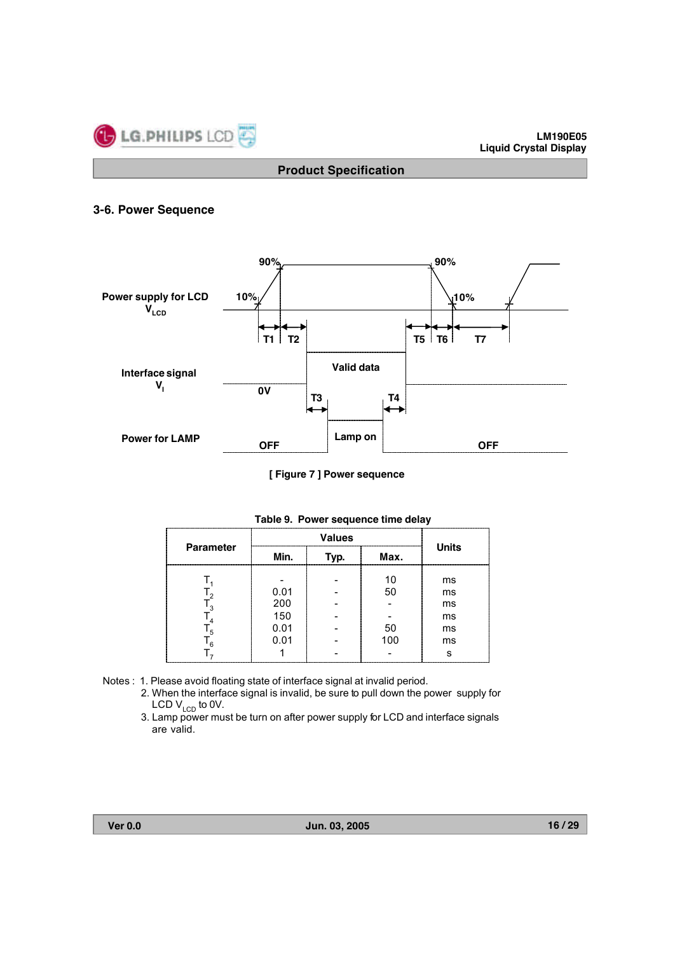

### **3-6. Power Sequence**



**[ Figure 7 ] Power sequence**

|                  |      | <b>Units</b> |      |    |  |  |
|------------------|------|--------------|------|----|--|--|
| <b>Parameter</b> | Min. | Typ.         | Max. |    |  |  |
|                  |      |              | 10   | ms |  |  |
|                  | 0.01 |              | 50   | ms |  |  |
|                  | 200  |              |      | ms |  |  |
|                  | 150  |              |      | ms |  |  |
|                  | 0.01 |              | 50   | ms |  |  |
|                  | 0.01 |              | 100  | ms |  |  |
|                  |      |              |      |    |  |  |

#### **Table 9. Power sequence time delay**

- Notes : 1. Please avoid floating state of interface signal at invalid period.
	- 2. When the interface signal is invalid, be sure to pull down the power supply for LCD  $V_{LCD}$  to 0V.
	- 3. Lamp power must be turn on after power supply for LCD and interface signals are valid.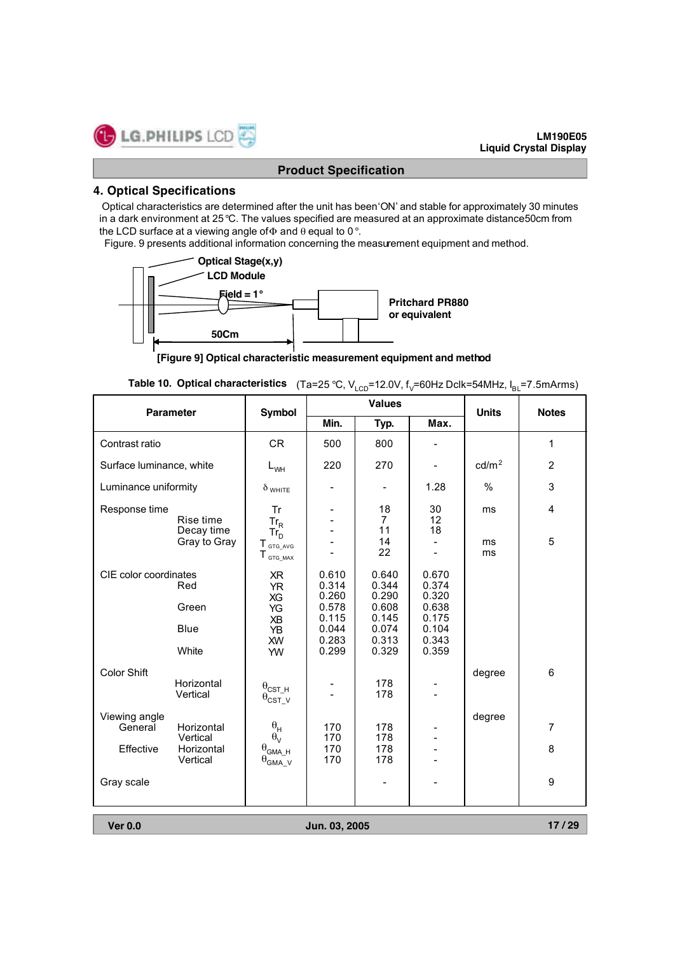

### **4. Optical Specifications**

Optical characteristics are determined after the unit has been 'ON' and stable for approximately 30 minutes in a dark environment at 25 °C. The values specified are measured at an approximate distance 50cm from the LCD surface at a viewing angle of  $\Phi$  and  $\theta$  equal to 0°.

Figure. 9 presents additional information concerning the measurement equipment and method.



**[Figure 9] Optical characteristic measurement equipment and method**

**Table 10. Optical characteristics** (Ta=25 °C, V<sub>LCD</sub>=12.0V, f<sub>V</sub>=60Hz Dclk=54MHz, I<sub>BL</sub>=7.5mArms)

|                          | <b>Parameter</b>                        | Symbol                                                                                                                     |                         | <b>Values</b>                          | <b>Units</b>            | <b>Notes</b>      |                |
|--------------------------|-----------------------------------------|----------------------------------------------------------------------------------------------------------------------------|-------------------------|----------------------------------------|-------------------------|-------------------|----------------|
|                          |                                         |                                                                                                                            | Min.                    | Typ.                                   | Max.                    |                   |                |
| Contrast ratio           |                                         | <b>CR</b>                                                                                                                  | 500                     | 800                                    |                         |                   | 1              |
| Surface luminance, white |                                         | $L_{VWH}$                                                                                                                  | 220                     | 270                                    |                         | cd/m <sup>2</sup> | $\overline{2}$ |
| Luminance uniformity     |                                         | $\delta$ white                                                                                                             |                         |                                        | 1.28                    | $\frac{0}{0}$     | 3              |
| Response time            | Rise time<br>Decay time<br>Gray to Gray | Tr<br>$Tr_R$<br>$Tr_{\mathsf{D}}^{\cdots}$<br>$T_{\text{ GTG\_AVG}}$<br>$\mathsf T_{\scriptscriptstyle \mathsf{GTG\_MAX}}$ |                         | 18<br>$\overline{7}$<br>11<br>14<br>22 | 30<br>12<br>18          | ms<br>ms<br>ms    | 4<br>5         |
| CIE color coordinates    | Red                                     | XR<br><b>YR</b><br>XG                                                                                                      | 0.610<br>0.314<br>0.260 | 0.640<br>0.344<br>0.290                | 0.670<br>0.374<br>0.320 |                   |                |
|                          | Green                                   | YG<br>XB                                                                                                                   | 0.578<br>0.115          | 0.608<br>0.145                         | 0.638<br>0.175          |                   |                |
|                          | Blue<br>White                           | YB<br><b>XW</b><br>YW                                                                                                      | 0.044<br>0.283<br>0.299 | 0.074<br>0.313<br>0.329                | 0.104<br>0.343<br>0.359 |                   |                |
| Color Shift              | Horizontal<br>Vertical                  | $\theta_{\text{CST\_H}}$<br>$\theta_{\text{CST\_V}}$                                                                       |                         | 178<br>178                             |                         | degree            | 6              |
| Viewing angle<br>General | Horizontal<br>Vertical                  | $\theta_H$<br>$\theta_{V}$                                                                                                 | 170<br>170              | 178<br>178                             |                         | degree            | 7              |
| Effective                | Horizontal<br>Vertical                  | $\theta_{\mathsf{GMA\_H}}$<br>$\theta_{\mathsf{GMA\_V}}$                                                                   | 170<br>170              | 178<br>178                             |                         |                   | 8              |
| Gray scale               |                                         |                                                                                                                            |                         |                                        |                         |                   | 9              |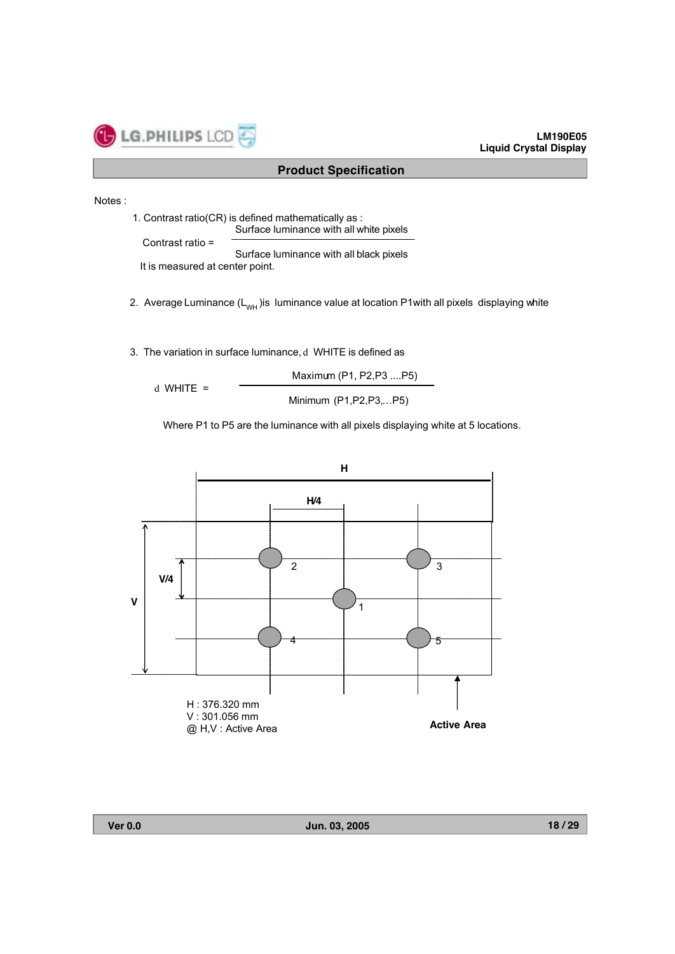

#### Notes :

1. Contrast ratio(CR) is defined mathematically as : Surface luminance with all white pixels Contrast ratio = Surface luminance with all black pixels It is measured at center point.

2. Average Luminance  $(L_{WH})$  is luminance value at location P1 with all pixels displaying white

3. The variation in surface luminance, d WHITE is defined as

 $d$  WHITE =

Maximum (P1, P2,P3 ....P5)

Minimum (P1,P2,P3,…P5)

Where P1 to P5 are the luminance with all pixels displaying white at 5 locations.

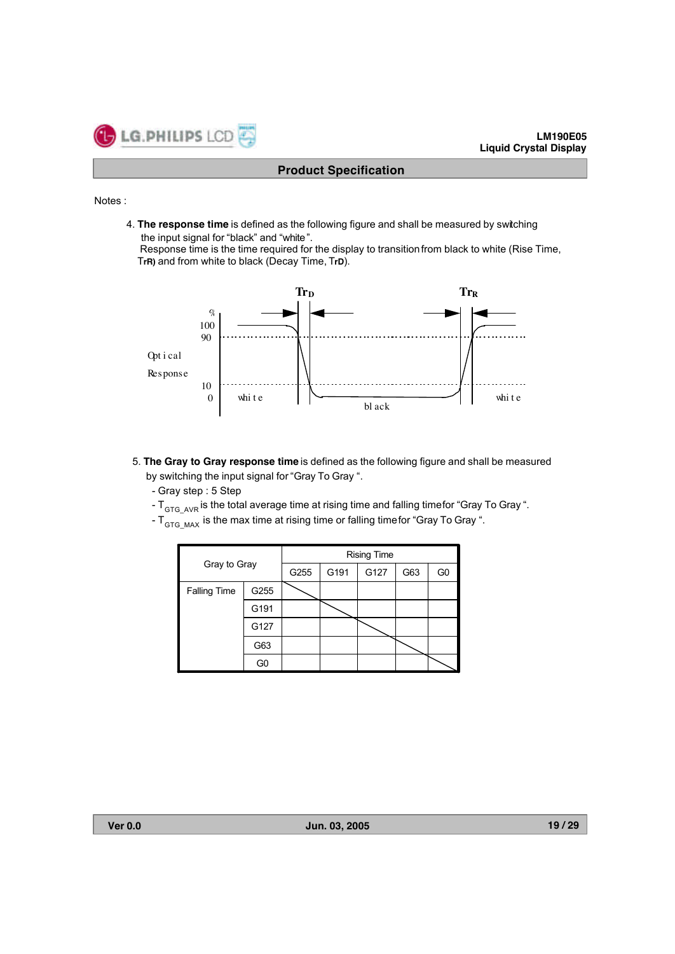

#### Notes :

4. **The response time** is defined as the following figure and shall be measured by switching the input signal for "black" and "white".

Response time is the time required for the display to transitionfrom black to white (Rise Time, T**rR)** and from white to black (Decay Time, T**rD**).



- 5. **The Gray to Gray response time** is defined as the following figure and shall be measured by switching the input signal for "Gray To Gray ".
	- Gray step : 5 Step
	- $T_{GTG-AVR}$  is the total average time at rising time and falling time for "Gray To Gray ".
	- $T_{GTGMAX}$  is the max time at rising time or falling time for "Gray To Gray ".

| Gray to Gray        |                |      | <b>Rising Time</b> |      |     |                |  |  |  |  |  |  |  |
|---------------------|----------------|------|--------------------|------|-----|----------------|--|--|--|--|--|--|--|
|                     |                | G255 | G191               | G127 | G63 | G <sub>0</sub> |  |  |  |  |  |  |  |
| <b>Falling Time</b> | G255           |      |                    |      |     |                |  |  |  |  |  |  |  |
|                     | G191           |      |                    |      |     |                |  |  |  |  |  |  |  |
|                     | G127           |      |                    |      |     |                |  |  |  |  |  |  |  |
|                     | G63            |      |                    |      |     |                |  |  |  |  |  |  |  |
|                     | G <sub>0</sub> |      |                    |      |     |                |  |  |  |  |  |  |  |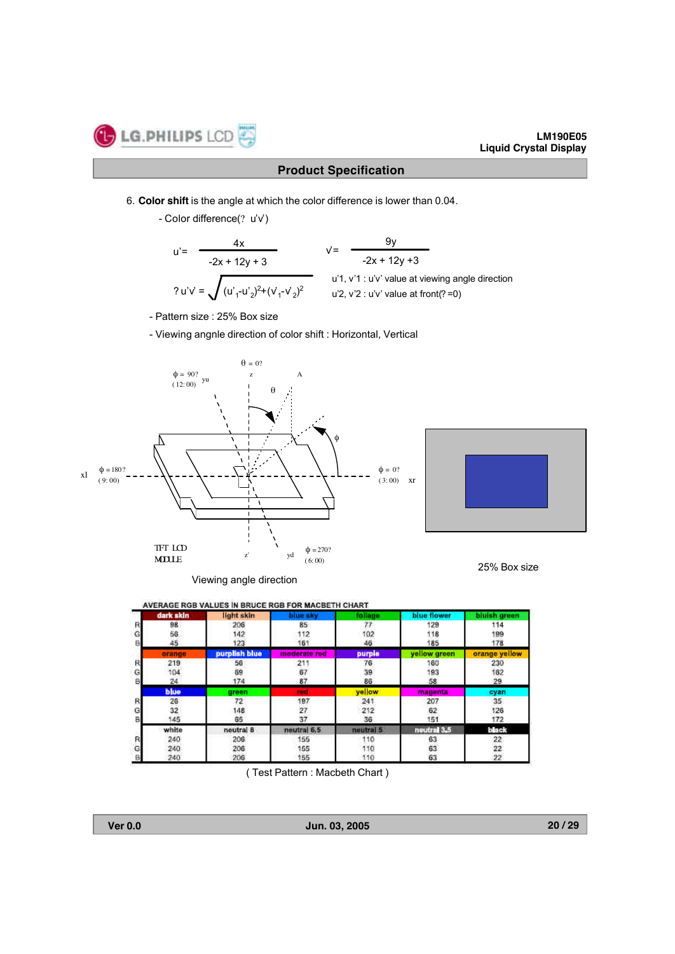

- 6. **Color shift** is the angle at which the color difference is lower than 0.04.
	- Color difference(? u'v')

u' = 
$$
\frac{4x}{-2x + 12y + 3}
$$
  
v' = 
$$
\frac{9y}{-2x + 12y + 3}
$$
  
2x + 12y + 3  
v'1, v'1 : u'v' value at viewing angle direction  
2 u'v' = 
$$
\sqrt{(u'_{1} - u'_{2})^{2} + (v'_{1} - v'_{2})^{2}}
$$
u'1, v'1 : u'v' value at from t(? = 0)

- Pattern size : 25% Box size

- Viewing angnle direction of color shift : Horizontal, Vertical



Viewing angle direction

|   | dark skin | light skin    | blue sky     | foliage   | blue flower  | bluish green    |
|---|-----------|---------------|--------------|-----------|--------------|-----------------|
| R | 98        | 206           | 85           | 77        | 129          | 114             |
| G | 56.       | 142           | 112          | 102       | 118          | 199             |
|   | 45        | 123           | 161          | 46        | 185          | 178             |
|   | orange    | purplish blue | moderate red | purple    | yellow green | orange yellow   |
| R | 219       | 56            | 211          | 76        | 160          | 230             |
| G | 104       | 69            | 67           | 39        | 193          | 162             |
| в | 24        | 174           | 87           | 86        | 58           | 29              |
|   | blue      | green         | red          | vellow    | magenta      | cyan            |
| R | 28        | $72^{\circ}$  | 197          | 241       | 207          | 35 <sub>1</sub> |
| G | 32        | 148           | 27           | 212       | 62           | 126             |
| в | 145       | 65            | 37           | 36        | 151          | 172             |
|   | white     | neutral 8     | neutral 6.5  | neutral 5 | neutral 3.5  | black           |
|   | 240       | 206           | 155          | 110       | 63           | 22              |
| G | 240       | 206           | 155          | 110       | 63           | 22              |
|   | 240       | 206           | 155          | 110       | 63           | 22              |

( Test Pattern : Macbeth Chart )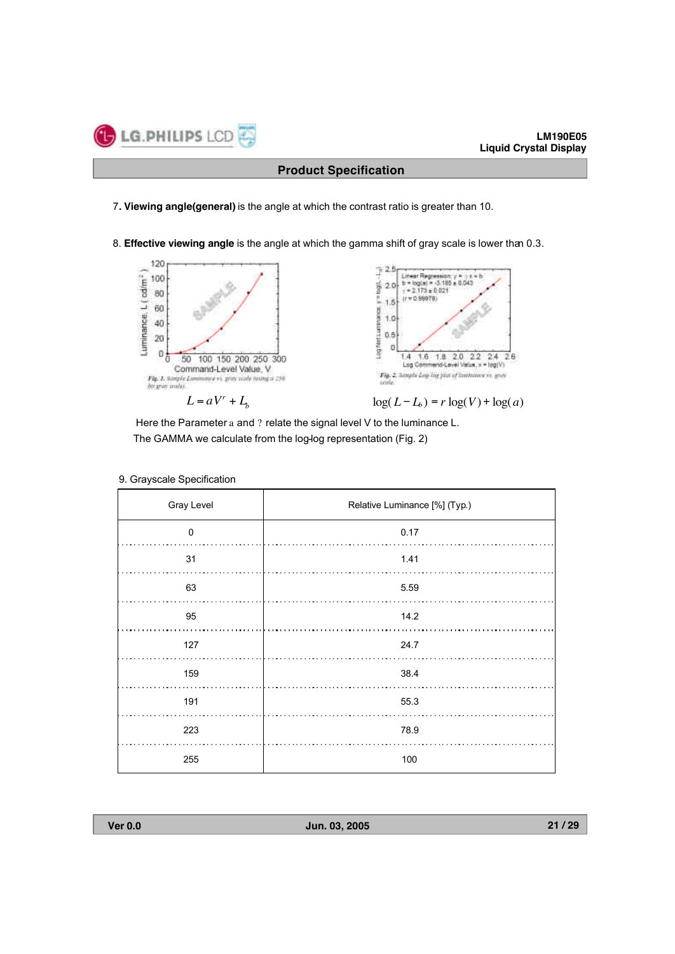

8. **Effective viewing angle** is the angle at which the gamma shift of gray scale is lower than 0.3.

7**. Viewing angle(general)** is the angle at which the contrast ratio is greater than 10.



 $7^{28}$ Linear Regression:  $y = -x + b$ <br>b = log(a) = -3.185 ± 0.043  $y =$  to gt.  $2.0$  $+2.175 \pm 0.021$  $(r = 0.99978)$  $1.5$ Log Nati Luminacos 1.0  $0.5$ ö 1.4 1.6 1.8 2.0 2.2 2.4 26 Log Commend-Level Value, x = log(V) Fig. 2. Sample Log-log-just of law/nines vs. goes ticitle



Here the Parameter a and ? relate the signal level V to the luminance L. The GAMMA we calculate from the log-log representation (Fig. 2)

| Gray Level  | Relative Luminance [%] (Typ.) |
|-------------|-------------------------------|
| $\mathbf 0$ | 0.17<br>.                     |
| 31          | 1.41                          |
| 63          | 5.59                          |
| 95          | 14.2                          |
| 127         | 24.7                          |
| 159         | 38.4                          |
| 191         | 55.3                          |
| 223         | 78.9                          |
| 255         | 100                           |

9. Grayscale Specification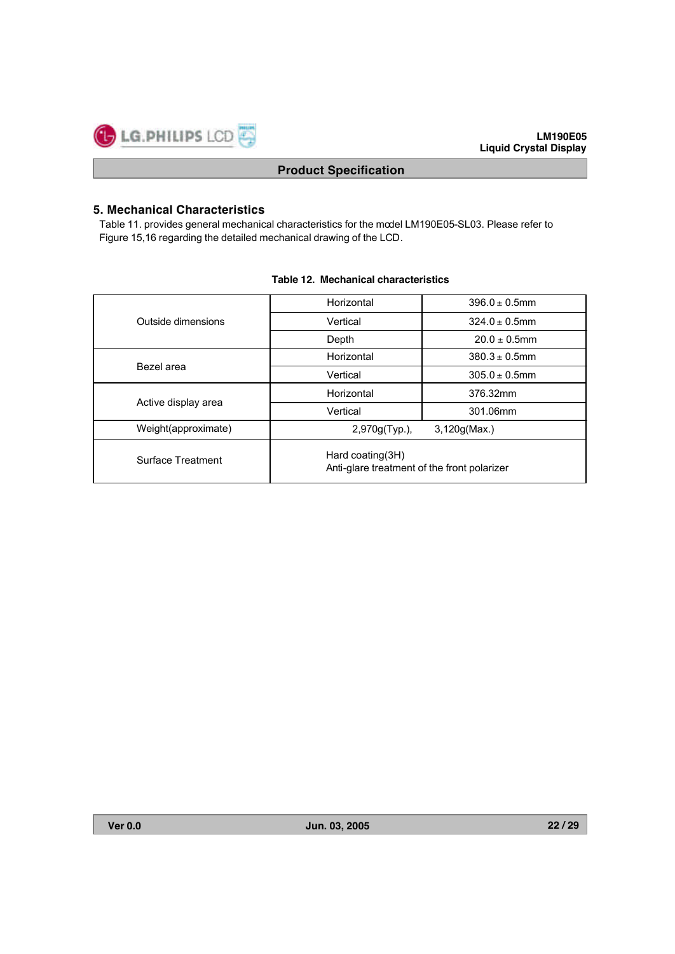

### **5. Mechanical Characteristics**

Table 11. provides general mechanical characteristics for the model LM190E05-SL03. Please refer to Figure 15,16 regarding the detailed mechanical drawing of the LCD.

|                     | Horizontal                                                         | $396.0 \pm 0.5$ mm |  |  |  |  |
|---------------------|--------------------------------------------------------------------|--------------------|--|--|--|--|
| Outside dimensions  | Vertical                                                           | $324.0 + 0.5$ mm   |  |  |  |  |
|                     | Depth                                                              | $20.0 \pm 0.5$ mm  |  |  |  |  |
|                     | Horizontal                                                         | $380.3 \pm 0.5$ mm |  |  |  |  |
| Bezel area          | Vertical                                                           | $305.0 \pm 0.5$ mm |  |  |  |  |
| Active display area | Horizontal                                                         | 376.32mm           |  |  |  |  |
|                     | Vertical                                                           | 301.06mm           |  |  |  |  |
| Weight(approximate) | 2,970g(Typ.),                                                      | 3,120g(Max.)       |  |  |  |  |
| Surface Treatment   | Hard coating $(3H)$<br>Anti-glare treatment of the front polarizer |                    |  |  |  |  |

### **Table 12. Mechanical characteristics**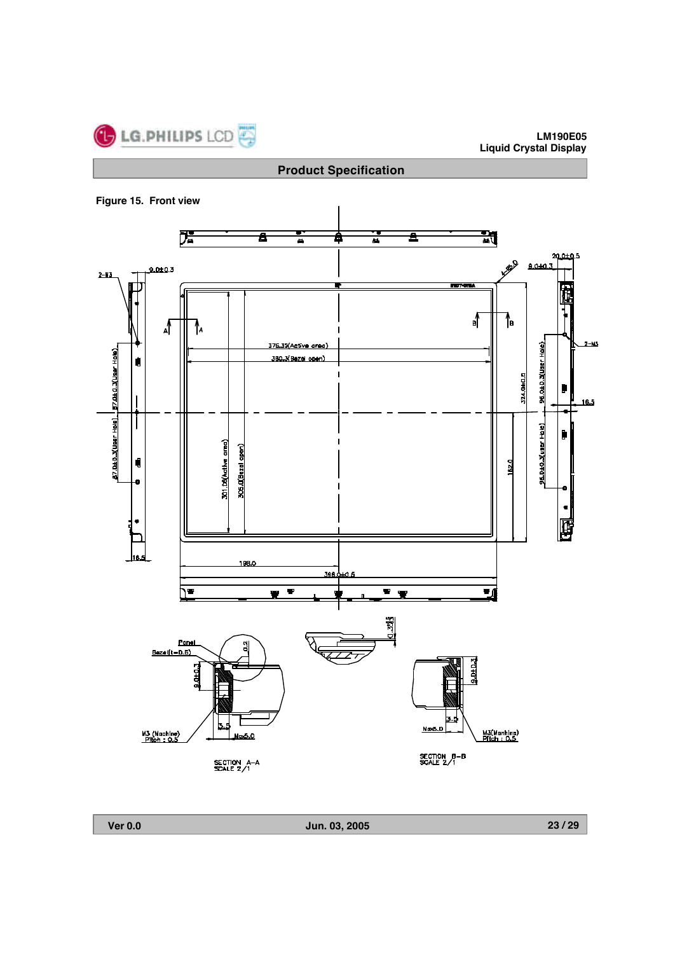

### **Figure 15. Front view**

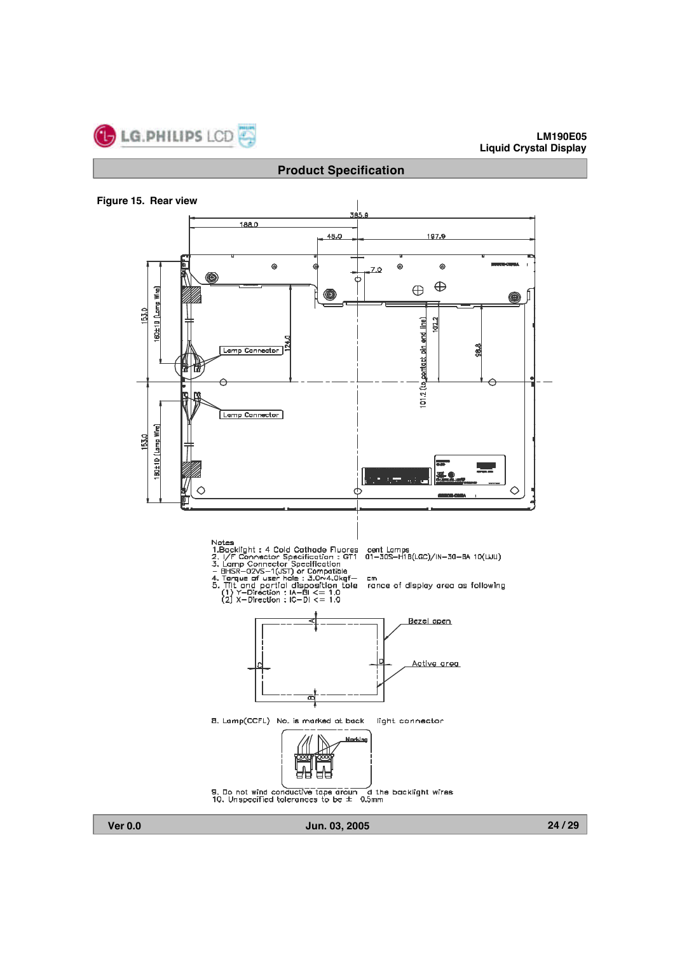

#### **Figure 15. Rear view**

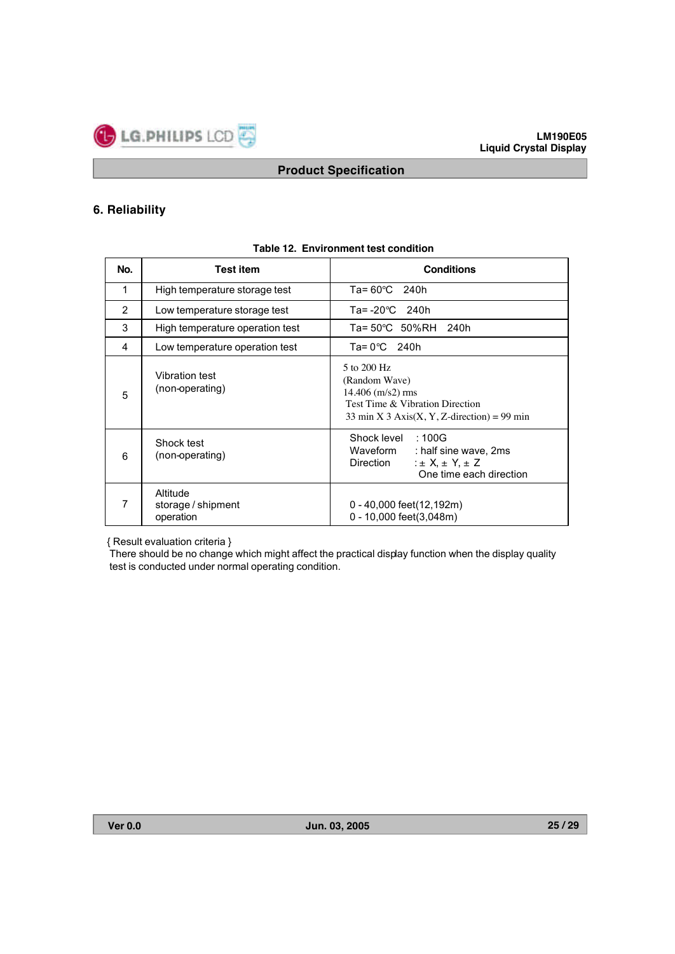

# **6. Reliability**

| No. | <b>Test item</b>                            | <b>Conditions</b>                                                                                                                               |
|-----|---------------------------------------------|-------------------------------------------------------------------------------------------------------------------------------------------------|
| 1   | High temperature storage test               | Ta= 60℃ 240h                                                                                                                                    |
| 2   | Low temperature storage test                | Ta= -20°C 240h                                                                                                                                  |
| 3   | High temperature operation test             | Ta= 50°C 50%RH 240h                                                                                                                             |
| 4   | Low temperature operation test              | Ta= 0℃ 240h                                                                                                                                     |
| 5   | Vibration test<br>(non-operating)           | 5 to $200 \text{ Hz}$<br>(Random Wave)<br>$14.406$ (m/s2) rms<br>Test Time & Vibration Direction<br>33 min X 3 Axis(X, Y, Z-direction) = 99 min |
| 6   | Shock test<br>(non-operating)               | Shock level<br>:100G<br>Waveform<br>: half sine wave, 2ms<br>Direction<br>$\pm$ X, $\pm$ Y, $\pm$ Z<br>One time each direction                  |
| 7   | Altitude<br>storage / shipment<br>operation | 0 - 40,000 feet(12,192m)<br>0 - 10,000 feet(3,048m)                                                                                             |

### **Table 12. Environment test condition**

{ Result evaluation criteria }

There should be no change which might affect the practical display function when the display quality test is conducted under normal operating condition.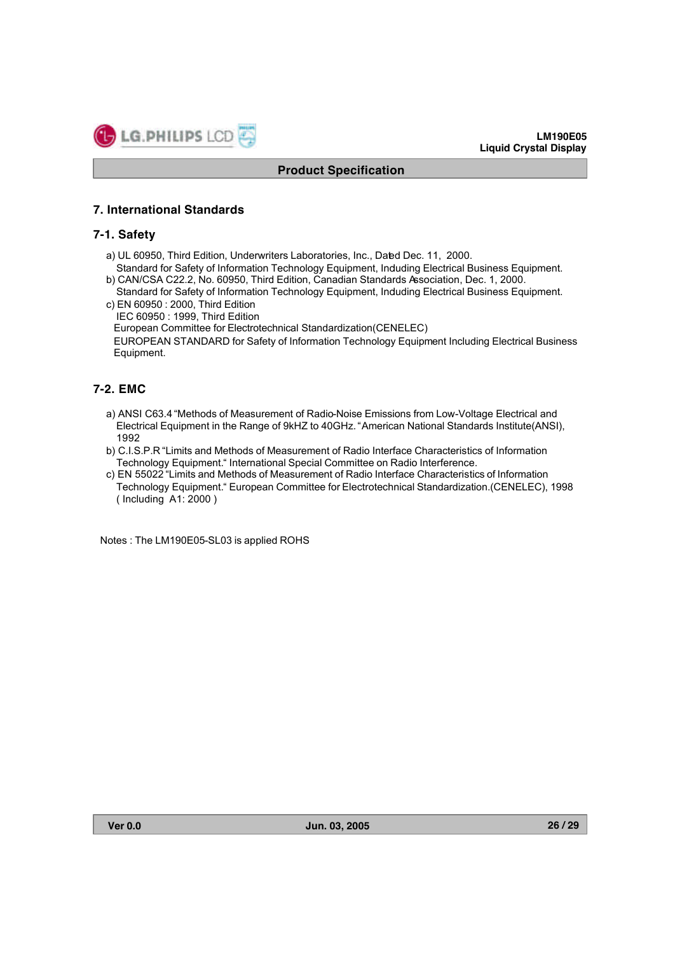

### **7. International Standards**

### **7-1. Safety**

- a) UL 60950, Third Edition, Underwriters Laboratories, Inc., Dated Dec. 11, 2000. Standard for Safety of Information Technology Equipment, Induding Electrical Business Equipment.
- b) CAN/CSA C22.2, No. 60950, Third Edition, Canadian Standards Association, Dec. 1, 2000. Standard for Safety of Information Technology Equipment, Induding Electrical Business Equipment.
- c) EN 60950 : 2000, Third Edition IEC 60950 : 1999, Third Edition European Committee for Electrotechnical Standardization(CENELEC) EUROPEAN STANDARD for Safety of Information Technology Equipment Including Electrical Business Equipment.

### **7-2. EMC**

- a) ANSI C63.4 "Methods of Measurement of Radio-Noise Emissions from Low-Voltage Electrical and Electrical Equipment in the Range of 9kHZ to 40GHz. "American National Standards Institute(ANSI), 1992
- b) C.I.S.P.R "Limits and Methods of Measurement of Radio Interface Characteristics of Information Technology Equipment." International Special Committee on Radio Interference.
- c) EN 55022 "Limits and Methods of Measurement of Radio Interface Characteristics of Information Technology Equipment." European Committee for Electrotechnical Standardization.(CENELEC), 1998 ( Including A1: 2000 )

Notes : The LM190E05-SL03 is applied ROHS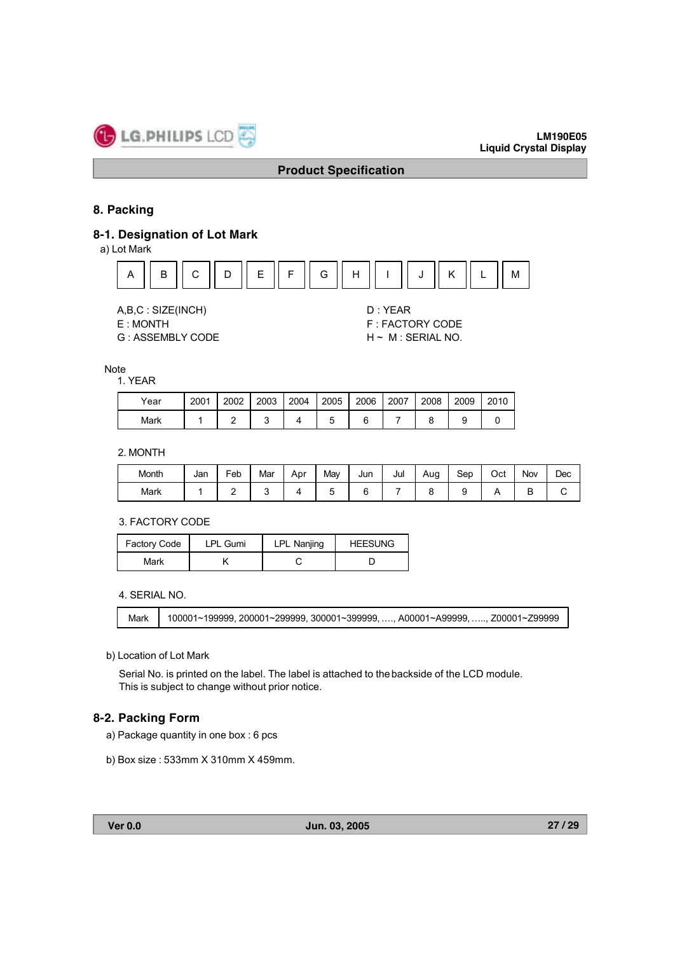

### **8. Packing**

#### **8-1. Designation of Lot Mark**

a) Lot Mark



A,B,C : SIZE(INCH) D : YEAR

- 
- G: ASSEMBLY CODE H ~ M: SERIAL NO.

E : MONTH F : FACTORY CODE

#### **Note**

#### 1. YEAR

| Year | 2001 | 2002 | 2003 | 2004 | 2005 | 2006 | 2007 | 2008 | 2009 | 2010 |
|------|------|------|------|------|------|------|------|------|------|------|
| Mark |      |      |      |      |      |      |      |      |      |      |

#### 2. MONTH

| Month | Jan | Feb | Mar | Apr | May | Jun | Jul | Aug | Sep | Oct | Nov | Dec |
|-------|-----|-----|-----|-----|-----|-----|-----|-----|-----|-----|-----|-----|
| Mark  |     |     |     |     |     |     |     |     |     |     |     |     |

#### 3. FACTORY CODE

| Factory Code | LPL Gumi | LPL Nanjing | <b>HEESUNG</b> |
|--------------|----------|-------------|----------------|
| Mark         |          |             |                |

#### 4. SERIAL NO.

#### b) Location of Lot Mark

Serial No. is printed on the label. The label is attached to thebackside of the LCD module. This is subject to change without prior notice.

### **8-2. Packing Form**

- a) Package quantity in one box : 6 pcs
- b) Box size : 533mm X 310mm X 459mm.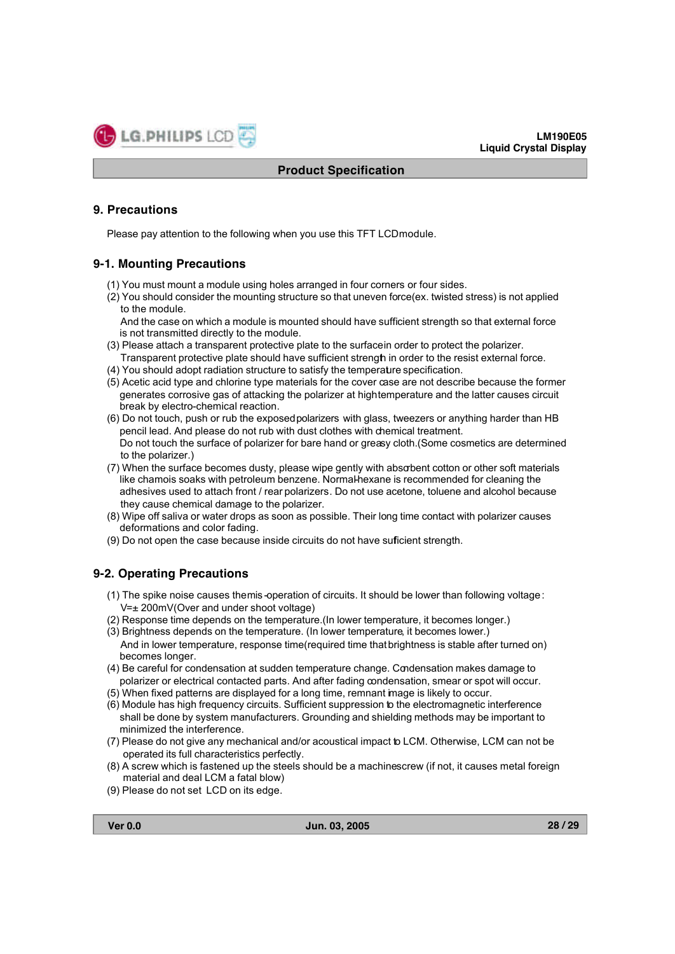

### **9. Precautions**

Please pay attention to the following when you use this TFT LCD module.

### **9-1. Mounting Precautions**

- (1) You must mount a module using holes arranged in four corners or four sides.
- (2) You should consider the mounting structure so that uneven force(ex. twisted stress) is not applied to the module.

And the case on which a module is mounted should have sufficient strength so that external force is not transmitted directly to the module.

- (3) Please attach a transparent protective plate to the surface in order to protect the polarizer. Transparent protective plate should have sufficient strength in order to the resist external force.
- (4) You should adopt radiation structure to satisfy the temperature specification.
- (5) Acetic acid type and chlorine type materials for the cover case are not describe because the former generates corrosive gas of attacking the polarizer at high temperature and the latter causes circuit break by electro-chemical reaction.
- (6) Do not touch, push or rub the exposed polarizers with glass, tweezers or anything harder than HB pencil lead. And please do not rub with dust clothes with chemical treatment. Do not touch the surface of polarizer for bare hand or greasy cloth.(Some cosmetics are determined to the polarizer.)
- (7) When the surface becomes dusty, please wipe gently with absorbent cotton or other soft materials like chamois soaks with petroleum benzene. Normal-hexane is recommended for cleaning the adhesives used to attach front / rear polarizers. Do not use acetone, toluene and alcohol because they cause chemical damage to the polarizer.
- (8) Wipe off saliva or water drops as soon as possible. Their long time contact with polarizer causes deformations and color fading.
- (9) Do not open the case because inside circuits do not have suficient strength.

### **9-2. Operating Precautions**

- (1) The spike noise causes the mis -operation of circuits. It should be lower than following voltage: V=± 200mV(Over and under shoot voltage)
- (2) Response time depends on the temperature.(In lower temperature, it becomes longer.)
- (3) Brightness depends on the temperature. (In lower temperature, it becomes lower.) And in lower temperature, response time(required time that brightness is stable after turned on) becomes longer.
- (4) Be careful for condensation at sudden temperature change. Condensation makes damage to polarizer or electrical contacted parts. And after fading condensation, smear or spot will occur.
- (5) When fixed patterns are displayed for a long time, remnant image is likely to occur.
- (6) Module has high frequency circuits. Sufficient suppression to the electromagnetic interference shall be done by system manufacturers. Grounding and shielding methods may be important to minimized the interference.
- (7) Please do not give any mechanical and/or acoustical impact to LCM. Otherwise, LCM can not be operated its full characteristics perfectly.
- (8) A screw which is fastened up the steels should be a machine screw (if not, it causes metal foreign material and deal LCM a fatal blow)
- (9) Please do not set LCD on its edge.